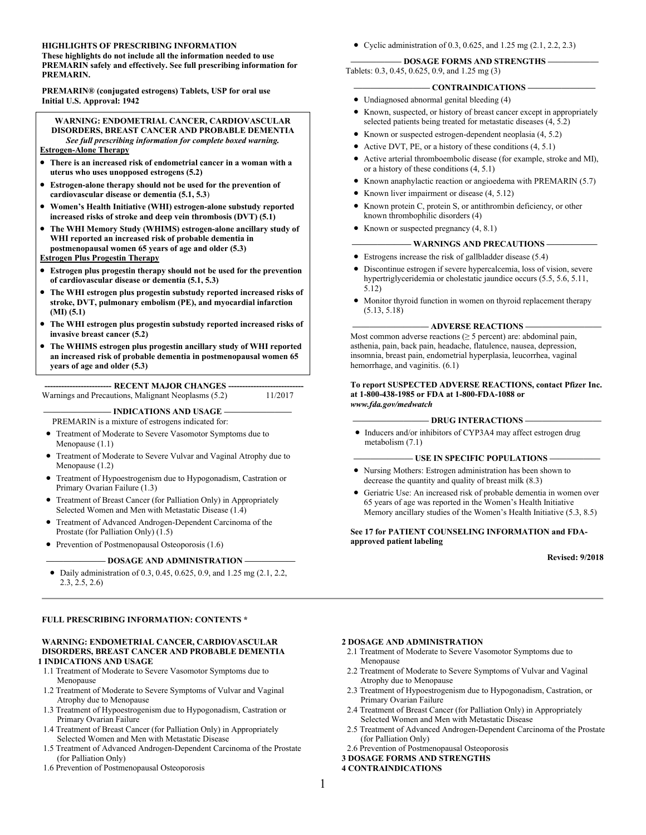#### **HIGHLIGHTS OF PRESCRIBING INFORMATION**

**These highlights do not include all the information needed to use PREMARIN safely and effectively. See full prescribing information for PREMARIN.**

**PREMARIN® (conjugated estrogens) Tablets, USP for oral use Initial U.S. Approval: 1942**

#### **WARNING: ENDOMETRIAL CANCER, CARDIOVASCULAR DISORDERS, BREAST CANCER AND PROBABLE DEMENTIA** *See full prescribing information for complete boxed warning.* **Estrogen-Alone Therapy**

- **There is an increased risk of endometrial cancer in a woman with a uterus who uses unopposed estrogens (5.2)**
- **Estrogen-alone therapy should not be used for the prevention of cardiovascular disease or dementia (5.1, 5.3**)
- **Women's Health Initiative (WHI) estrogen-alone substudy reported increased risks of stroke and deep vein thrombosis (DVT) (5.1)**
- **The WHI Memory Study (WHIMS) estrogen-alone ancillary study of WHI reported an increased risk of probable dementia in postmenopausal women 65 years of age and older (5.3)**

#### **Estrogen Plus Progestin Therapy**

- **Estrogen plus progestin therapy should not be used for the prevention of cardiovascular disease or dementia (5.1, 5.3)**
- **The WHI estrogen plus progestin substudy reported increased risks of stroke, DVT, pulmonary embolism (PE), and myocardial infarction (MI) (5.1)**
- **The WHI estrogen plus progestin substudy reported increased risks of invasive breast cancer (5.2)**
- **The WHIMS estrogen plus progestin ancillary study of WHI reported an increased risk of probable dementia in postmenopausal women 65 years of age and older (5.3)**

**- RECENT MAJOR CHANGES ---------------------------**<br>utions, Malignant Neoplasms (5.2) 11/2017 Warnings and Precautions, Malignant Neoplasms (5.2)

**———————— INDICATIONS AND USAGE ————————**

PREMARIN is a mixture of estrogens indicated for:

- Treatment of Moderate to Severe Vasomotor Symptoms due to Menopause (1.1)
- Treatment of Moderate to Severe Vulvar and Vaginal Atrophy due to Menopause (1.2)
- Treatment of Hypoestrogenism due to Hypogonadism, Castration or Primary Ovarian Failure (1.3)
- Treatment of Breast Cancer (for Palliation Only) in Appropriately Selected Women and Men with Metastatic Disease (1.4)
- Treatment of Advanced Androgen-Dependent Carcinoma of the Prostate (for Palliation Only)  $(1.5)$
- Prevention of Postmenopausal Osteoporosis (1.6)

#### **——————— DOSAGE AND ADMINISTRATION ——————**

• Daily administration of 0.3, 0.45, 0.625, 0.9, and 1.25 mg (2.1, 2.2, 2.3, 2.5, 2.6)

#### **FULL PRESCRIBING INFORMATION: CONTENTS \***

#### **WARNING: ENDOMETRIAL CANCER, CARDIOVASCULAR DISORDERS, BREAST CANCER AND PROBABLE DEMENTIA 1 INDICATIONS AND USAGE**

- 1.1 Treatment of Moderate to Severe Vasomotor Symptoms due to Menopause
- 1.2 Treatment of Moderate to Severe Symptoms of Vulvar and Vaginal Atrophy due to Menopause
- 1.3 Treatment of Hypoestrogenism due to Hypogonadism, Castration or Primary Ovarian Failure
- 1.4 Treatment of Breast Cancer (for Palliation Only) in Appropriately Selected Women and Men with Metastatic Disease
- 1.5 Treatment of Advanced Androgen-Dependent Carcinoma of the Prostate (for Palliation Only)
- 1.6 Prevention of Postmenopausal Osteoporosis

• Cyclic administration of 0.3, 0.625, and 1.25 mg  $(2.1, 2.2, 2.3)$ 

#### **—————— DOSAGE FORMS AND STRENGTHS ——————**

Tablets: 0.3, 0.45, 0.625, 0.9, and 1.25 mg (3)

#### $-$  **CONTRAINDICATIONS** —

- Undiagnosed abnormal genital bleeding (4)
- Known, suspected, or history of breast cancer except in appropriately selected patients being treated for metastatic diseases (4, 5.2)
- Known or suspected estrogen-dependent neoplasia  $(4, 5.2)$
- Active DVT, PE, or a history of these conditions  $(4, 5.1)$
- Active arterial thromboembolic disease (for example, stroke and MI), or a history of these conditions (4, 5.1)
- Known anaphylactic reaction or angioedema with PREMARIN  $(5.7)$
- Known liver impairment or disease  $(4, 5.12)$
- Known protein C, protein S, or antithrombin deficiency, or other known thrombophilic disorders (4)
- Known or suspected pregnancy  $(4, 8.1)$

#### **——————— WARNINGS AND PRECAUTIONS ——————**

- Estrogens increase the risk of gallbladder disease (5.4)
- Discontinue estrogen if severe hypercalcemia, loss of vision, severe hypertriglyceridemia or cholestatic jaundice occurs (5.5, 5.6, 5.11, 5.12)
- Monitor thyroid function in women on thyroid replacement therapy (5.13, 5.18)

#### **————————— ADVERSE REACTIONS —————————**

Most common adverse reactions ( $\geq$  5 percent) are: abdominal pain, asthenia, pain, back pain, headache, flatulence, nausea, depression, insomnia, breast pain, endometrial hyperplasia, leucorrhea, vaginal hemorrhage, and vaginitis. (6.1)

#### **To report SUSPECTED ADVERSE REACTIONS, contact Pfizer Inc. at 1-800-438-1985 or FDA at 1-800-FDA-1088 or** *www.fda.gov/medwatch*

#### **————————— DRUG INTERACTIONS —————————**

 Inducers and/or inhibitors of CYP3A4 may affect estrogen drug metabolism (7.1)

#### **——————— USE IN SPECIFIC POPULATIONS ——————**

- Nursing Mothers: Estrogen administration has been shown to decrease the quantity and quality of breast milk (8.3)
- Geriatric Use: An increased risk of probable dementia in women over 65 years of age was reported in the Women's Health Initiative Memory ancillary studies of the Women's Health Initiative (5.3, 8.5)

**See 17 for PATIENT COUNSELING INFORMATION and FDAapproved patient labeling** 

#### **Revised: 9/2018**

#### **2 DOSAGE AND ADMINISTRATION**

- 2.1 Treatment of Moderate to Severe Vasomotor Symptoms due to Menopause
- 2.2 Treatment of Moderate to Severe Symptoms of Vulvar and Vaginal Atrophy due to Menopause
- 2.3 Treatment of Hypoestrogenism due to Hypogonadism, Castration, or Primary Ovarian Failure
- 2.4 Treatment of Breast Cancer (for Palliation Only) in Appropriately Selected Women and Men with Metastatic Disease
- 2.5 Treatment of Advanced Androgen-Dependent Carcinoma of the Prostate (for Palliation Only)
- 2.6 Prevention of Postmenopausal Osteoporosis

#### **3 DOSAGE FORMS AND STRENGTHS**

#### **4 CONTRAINDICATIONS**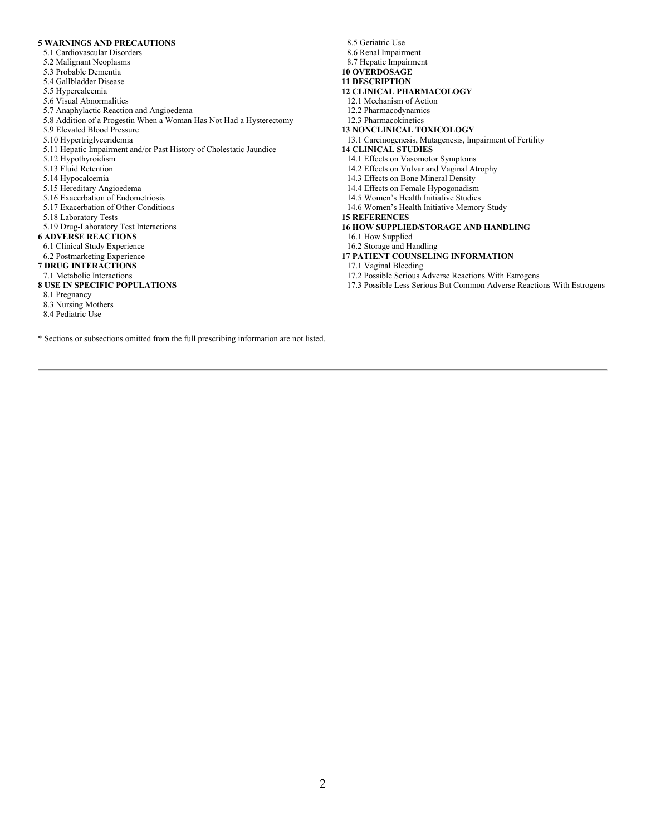#### **5 WARNINGS AND PRECAUTIONS**

- 5.1 Cardiovascular Disorders
- 5.2 Malignant Neoplasms
- 5.3 Probable Dementia
- 5.4 Gallbladder Disease
- 5.5 Hypercalcemia
- 5.6 Visual Abnormalities
- 5.7 Anaphylactic Reaction and Angioedema
- 5.8 Addition of a Progestin When a Woman Has Not Had a Hysterectomy
- 5.9 Elevated Blood Pressure
- 5.10 Hypertriglyceridemia
- 5.11 Hepatic Impairment and/or Past History of Cholestatic Jaundice
- 5.12 Hypothyroidism
- 5.13 Fluid Retention
- 5.14 Hypocalcemia
- 5.15 Hereditary Angioedema
- 5.16 Exacerbation of Endometriosis
- 5.17 Exacerbation of Other Conditions
- 5.18 Laboratory Tests
- 5.19 Drug-Laboratory Test Interactions
- **6 ADVERSE REACTIONS**
- 6.1 Clinical Study Experience
- 6.2 Postmarketing Experience

#### **7 DRUG INTERACTIONS**

7.1 Metabolic Interactions

#### **8 USE IN SPECIFIC POPULATIONS**

- 8.1 Pregnancy
- 8.3 Nursing Mothers
- 8.4 Pediatric Use
- 8.5 Geriatric Use
- 8.6 Renal Impairment
- 8.7 Hepatic Impairment

#### **10 OVERDOSAGE**

- **11 DESCRIPTION**
- **12 CLINICAL PHARMACOLOGY**
- 12.1 Mechanism of Action
- 12.2 Pharmacodynamics
- 12.3 Pharmacokinetics
- **13 NONCLINICAL TOXICOLOGY**
- 13.1 Carcinogenesis, Mutagenesis, Impairment of Fertility

#### **14 CLINICAL STUDIES**

- 14.1 Effects on Vasomotor Symptoms
- 14.2 Effects on Vulvar and Vaginal Atrophy
- 14.3 Effects on Bone Mineral Density
- 14.4 Effects on Female Hypogonadism
- 14.5 Women's Health Initiative Studies
- 14.6 Women's Health Initiative Memory Study
- **15 REFERENCES**
- **16 HOW SUPPLIED/STORAGE AND HANDLING**
- 16.1 How Supplied
- 16.2 Storage and Handling
- **17 PATIENT COUNSELING INFORMATION**
- 17.1 Vaginal Bleeding
- 17.2 Possible Serious Adverse Reactions With Estrogens
- 17.3 Possible Less Serious But Common Adverse Reactions With Estrogens

\* Sections or subsections omitted from the full prescribing information are not listed.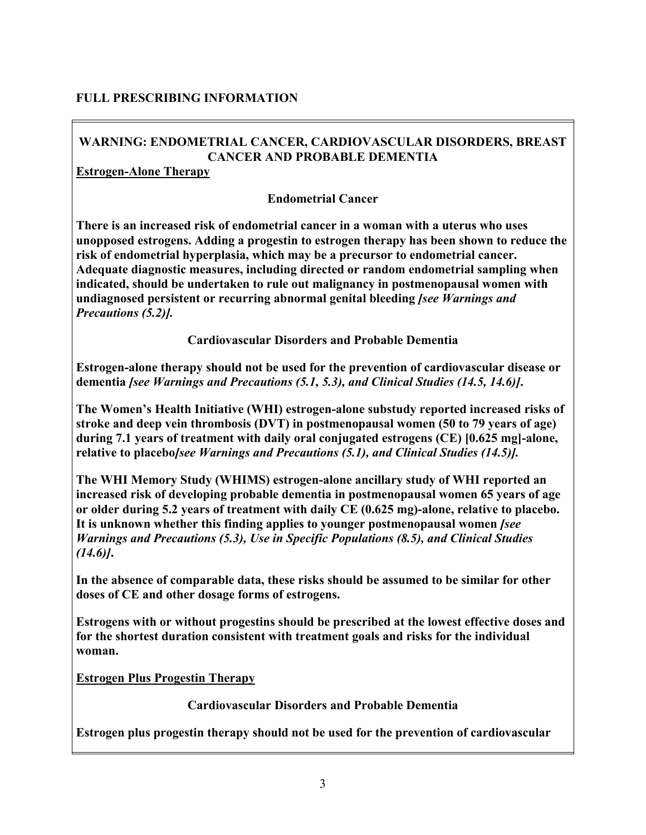## **FULL PRESCRIBING INFORMATION**

# **WARNING: ENDOMETRIAL CANCER, CARDIOVASCULAR DISORDERS, BREAST CANCER AND PROBABLE DEMENTIA**

#### **Estrogen-Alone Therapy**

#### **Endometrial Cancer**

**There is an increased risk of endometrial cancer in a woman with a uterus who uses unopposed estrogens. Adding a progestin to estrogen therapy has been shown to reduce the risk of endometrial hyperplasia, which may be a precursor to endometrial cancer. Adequate diagnostic measures, including directed or random endometrial sampling when indicated, should be undertaken to rule out malignancy in postmenopausal women with undiagnosed persistent or recurring abnormal genital bleeding** *[see Warnings and Precautions (5.2)].*

**Cardiovascular Disorders and Probable Dementia**

**Estrogen-alone therapy should not be used for the prevention of cardiovascular disease or dementia** *[see Warnings and Precautions (5.1, 5.3), and Clinical Studies (14.5, 14.6)]***.**

**The Women's Health Initiative (WHI) estrogen-alone substudy reported increased risks of stroke and deep vein thrombosis (DVT) in postmenopausal women (50 to 79 years of age) during 7.1 years of treatment with daily oral conjugated estrogens (CE) [0.625 mg]-alone, relative to placebo***[see Warnings and Precautions (5.1), and Clinical Studies (14.5)].*

**The WHI Memory Study (WHIMS) estrogen-alone ancillary study of WHI reported an increased risk of developing probable dementia in postmenopausal women 65 years of age or older during 5.2 years of treatment with daily CE (0.625 mg)-alone, relative to placebo. It is unknown whether this finding applies to younger postmenopausal women** *[see Warnings and Precautions (5.3), Use in Specific Populations (8.5), and Clinical Studies (14.6)]***.**

**In the absence of comparable data, these risks should be assumed to be similar for other doses of CE and other dosage forms of estrogens.**

**Estrogens with or without progestins should be prescribed at the lowest effective doses and for the shortest duration consistent with treatment goals and risks for the individual woman.**

**Estrogen Plus Progestin Therapy**

**Cardiovascular Disorders and Probable Dementia**

**Estrogen plus progestin therapy should not be used for the prevention of cardiovascular**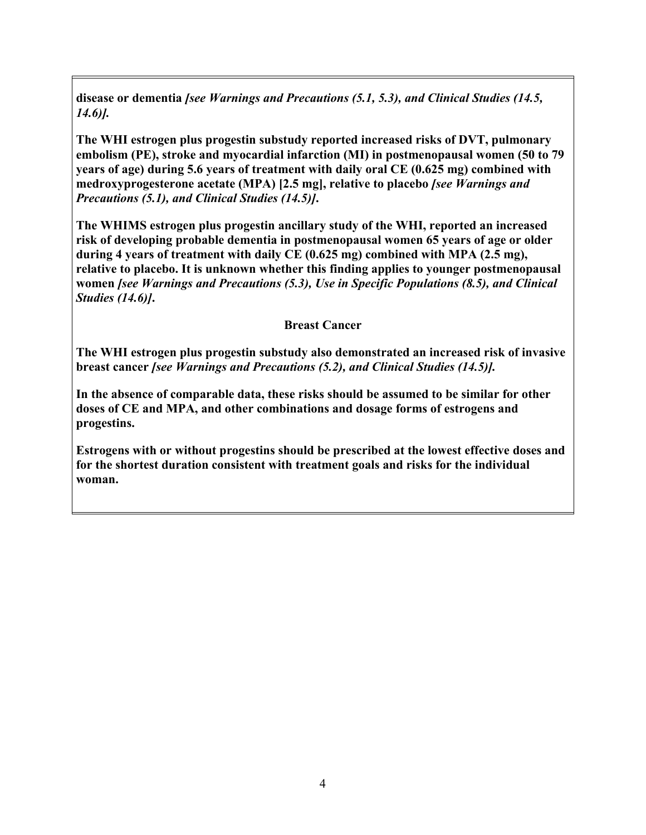**disease or dementia** *[see Warnings and Precautions (5.1, 5.3), and Clinical Studies (14.5, 14.6)].*

**The WHI estrogen plus progestin substudy reported increased risks of DVT, pulmonary embolism (PE), stroke and myocardial infarction (MI) in postmenopausal women (50 to 79 years of age) during 5.6 years of treatment with daily oral CE (0.625 mg) combined with medroxyprogesterone acetate (MPA) [2.5 mg], relative to placebo** *[see Warnings and Precautions (5.1), and Clinical Studies (14.5)]***.**

**The WHIMS estrogen plus progestin ancillary study of the WHI, reported an increased risk of developing probable dementia in postmenopausal women 65 years of age or older during 4 years of treatment with daily CE (0.625 mg) combined with MPA (2.5 mg), relative to placebo. It is unknown whether this finding applies to younger postmenopausal women** *[see Warnings and Precautions (5.3), Use in Specific Populations (8.5), and Clinical Studies (14.6)]***.**

## **Breast Cancer**

**The WHI estrogen plus progestin substudy also demonstrated an increased risk of invasive breast cancer** *[see Warnings and Precautions (5.2), and Clinical Studies (14.5)].*

**In the absence of comparable data, these risks should be assumed to be similar for other doses of CE and MPA, and other combinations and dosage forms of estrogens and progestins.**

**Estrogens with or without progestins should be prescribed at the lowest effective doses and for the shortest duration consistent with treatment goals and risks for the individual woman.**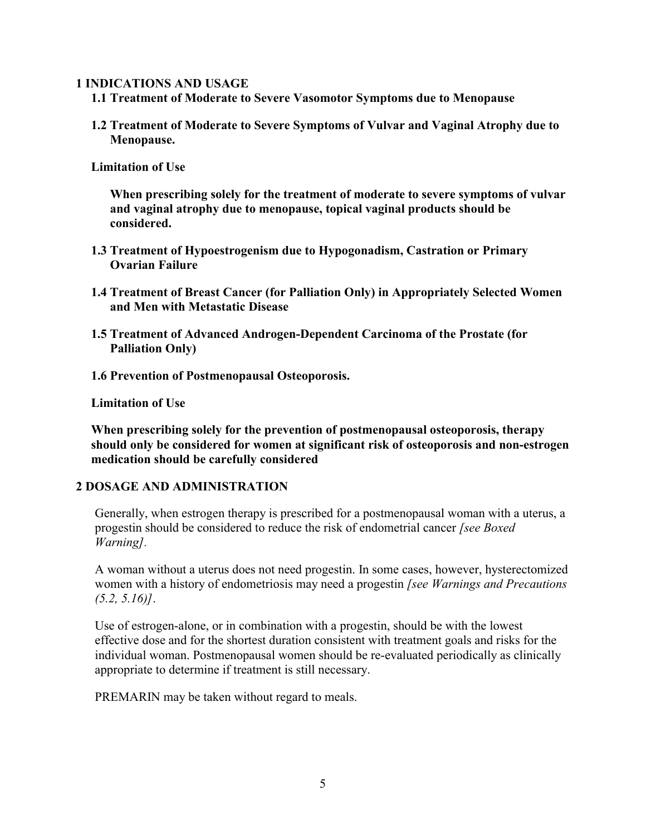#### **1 INDICATIONS AND USAGE**

- **1.1 Treatment of Moderate to Severe Vasomotor Symptoms due to Menopause**
- **1.2 Treatment of Moderate to Severe Symptoms of Vulvar and Vaginal Atrophy due to Menopause.**

**Limitation of Use**

**When prescribing solely for the treatment of moderate to severe symptoms of vulvar and vaginal atrophy due to menopause, topical vaginal products should be considered.**

- **1.3 Treatment of Hypoestrogenism due to Hypogonadism, Castration or Primary Ovarian Failure**
- **1.4 Treatment of Breast Cancer (for Palliation Only) in Appropriately Selected Women and Men with Metastatic Disease**
- **1.5 Treatment of Advanced Androgen-Dependent Carcinoma of the Prostate (for Palliation Only)**
- **1.6 Prevention of Postmenopausal Osteoporosis.**

**Limitation of Use**

**When prescribing solely for the prevention of postmenopausal osteoporosis, therapy should only be considered for women at significant risk of osteoporosis and non-estrogen medication should be carefully considered**

#### **2 DOSAGE AND ADMINISTRATION**

Generally, when estrogen therapy is prescribed for a postmenopausal woman with a uterus, a progestin should be considered to reduce the risk of endometrial cancer *[see Boxed Warning].*

A woman without a uterus does not need progestin. In some cases, however, hysterectomized women with a history of endometriosis may need a progestin *[see Warnings and Precautions (5.2, 5.16)]*.

Use of estrogen-alone, or in combination with a progestin, should be with the lowest effective dose and for the shortest duration consistent with treatment goals and risks for the individual woman. Postmenopausal women should be re-evaluated periodically as clinically appropriate to determine if treatment is still necessary.

PREMARIN may be taken without regard to meals.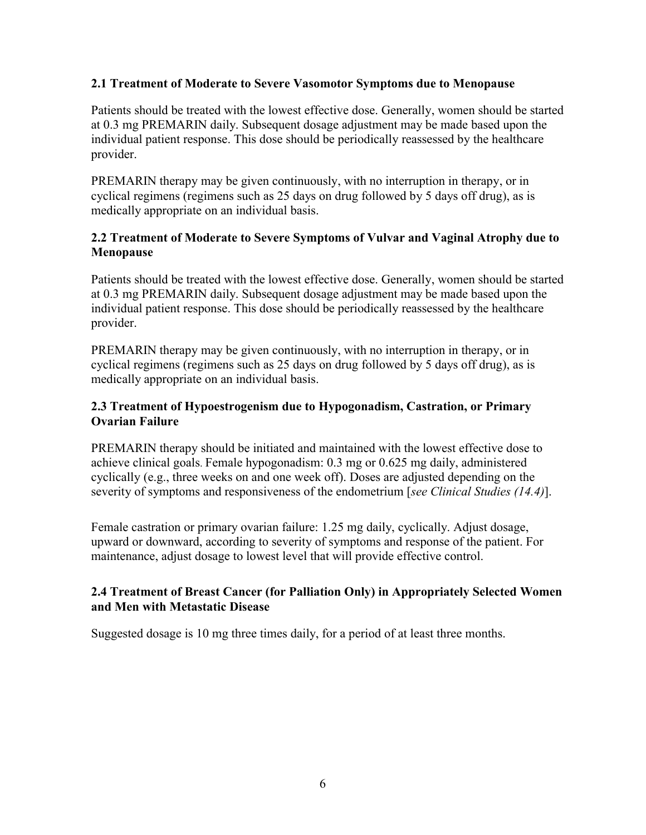#### **2.1 Treatment of Moderate to Severe Vasomotor Symptoms due to Menopause**

Patients should be treated with the lowest effective dose. Generally, women should be started at 0.3 mg PREMARIN daily. Subsequent dosage adjustment may be made based upon the individual patient response. This dose should be periodically reassessed by the healthcare provider.

PREMARIN therapy may be given continuously, with no interruption in therapy, or in cyclical regimens (regimens such as 25 days on drug followed by 5 days off drug), as is medically appropriate on an individual basis.

## **2.2 Treatment of Moderate to Severe Symptoms of Vulvar and Vaginal Atrophy due to Menopause**

Patients should be treated with the lowest effective dose. Generally, women should be started at 0.3 mg PREMARIN daily. Subsequent dosage adjustment may be made based upon the individual patient response. This dose should be periodically reassessed by the healthcare provider.

PREMARIN therapy may be given continuously, with no interruption in therapy, or in cyclical regimens (regimens such as 25 days on drug followed by 5 days off drug), as is medically appropriate on an individual basis.

#### **2.3 Treatment of Hypoestrogenism due to Hypogonadism, Castration, or Primary Ovarian Failure**

PREMARIN therapy should be initiated and maintained with the lowest effective dose to achieve clinical goals. Female hypogonadism: 0.3 mg or 0.625 mg daily, administered cyclically (e.g., three weeks on and one week off). Doses are adjusted depending on the severity of symptoms and responsiveness of the endometrium [*see Clinical Studies (14.4)*].

Female castration or primary ovarian failure: 1.25 mg daily, cyclically. Adjust dosage, upward or downward, according to severity of symptoms and response of the patient. For maintenance, adjust dosage to lowest level that will provide effective control.

## **2.4 Treatment of Breast Cancer (for Palliation Only) in Appropriately Selected Women and Men with Metastatic Disease**

Suggested dosage is 10 mg three times daily, for a period of at least three months.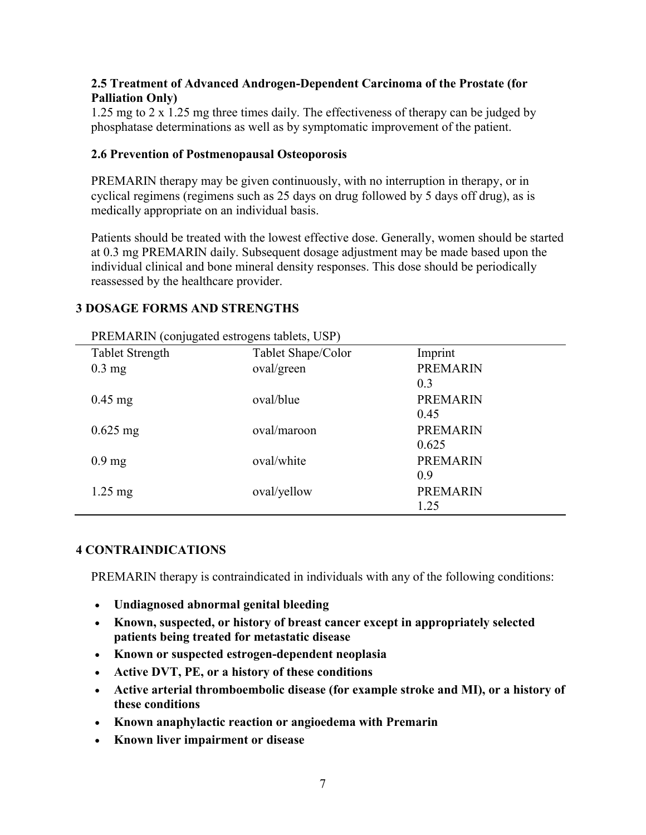#### **2.5 Treatment of Advanced Androgen-Dependent Carcinoma of the Prostate (for Palliation Only)**

1.25 mg to 2 x 1.25 mg three times daily. The effectiveness of therapy can be judged by phosphatase determinations as well as by symptomatic improvement of the patient.

#### **2.6 Prevention of Postmenopausal Osteoporosis**

PREMARIN therapy may be given continuously, with no interruption in therapy, or in cyclical regimens (regimens such as 25 days on drug followed by 5 days off drug), as is medically appropriate on an individual basis.

Patients should be treated with the lowest effective dose. Generally, women should be started at 0.3 mg PREMARIN daily. Subsequent dosage adjustment may be made based upon the individual clinical and bone mineral density responses. This dose should be periodically reassessed by the healthcare provider.

#### **3 DOSAGE FORMS AND STRENGTHS**

Tablet Strength Tablet Shape/Color Imprint 0.3 mg oval/green PREMARIN 0.3 0.45 mg oval/blue PREMARIN 0.45 0.625 mg oval/maroon PREMARIN 0.625 0.9 mg oval/white PREMARIN 0.9 1.25 mg oval/yellow PREMARIN 1.25

PREMARIN (conjugated estrogens tablets, USP)

#### **4 CONTRAINDICATIONS**

PREMARIN therapy is contraindicated in individuals with any of the following conditions:

- **Undiagnosed abnormal genital bleeding**
- **Known, suspected, or history of breast cancer except in appropriately selected patients being treated for metastatic disease**
- **Known or suspected estrogen-dependent neoplasia**
- **Active DVT, PE, or a history of these conditions**
- **Active arterial thromboembolic disease (for example stroke and MI), or a history of these conditions**
- **Known anaphylactic reaction or angioedema with Premarin**
- **Known liver impairment or disease**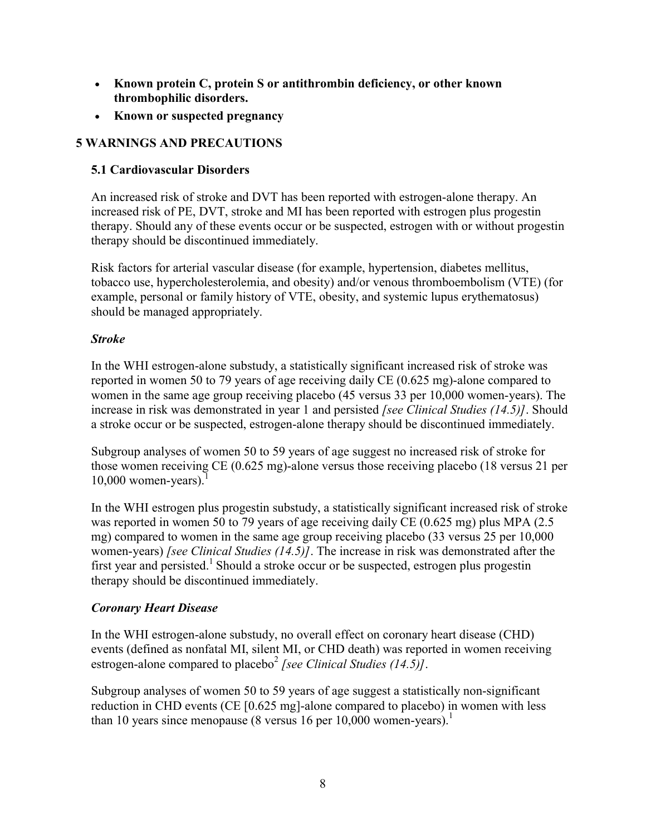- **Known protein C, protein S or antithrombin deficiency, or other known thrombophilic disorders.**
- **Known or suspected pregnancy**

# <span id="page-7-0"></span>**5 WARNINGS AND PRECAUTIONS**

## **5.1 Cardiovascular Disorders**

An increased risk of stroke and DVT has been reported with estrogen-alone therapy. An increased risk of PE, DVT, stroke and MI has been reported with estrogen plus progestin therapy. Should any of these events occur or be suspected, estrogen with or without progestin therapy should be discontinued immediately.

Risk factors for arterial vascular disease (for example, hypertension, diabetes mellitus, tobacco use, hypercholesterolemia, and obesity) and/or venous thromboembolism (VTE) (for example, personal or family history of VTE, obesity, and systemic lupus erythematosus) should be managed appropriately.

## *Stroke*

In the WHI estrogen-alone substudy, a statistically significant increased risk of stroke was reported in women 50 to 79 years of age receiving daily CE (0.625 mg)-alone compared to women in the same age group receiving placebo (45 versus 33 per 10,000 women-years). The increase in risk was demonstrated in year 1 and persisted *[see Clinical Studies (14.5)]*. Should a stroke occur or be suspected, estrogen-alone therapy should be discontinued immediately.

Subgroup analyses of women 50 to 59 years of age suggest no increased risk of stroke for those women receiving CE (0.625 mg)-alone versus those receiving placebo (18 versus 21 per  $10,000$  women-years).

In the WHI estrogen plus progestin substudy, a statistically significant increased risk of stroke was reported in women 50 to 79 years of age receiving daily CE (0.625 mg) plus MPA (2.5 mg) compared to women in the same age group receiving placebo (33 versus 25 per 10,000 women-years) *[see Clinical Studies (14.5)]*. The increase in risk was demonstrated after the first year and persisted.<sup>1</sup> Should a stroke occur or be suspected, estrogen plus progestin therapy should be discontinued immediately.

# *Coronary Heart Disease*

In the WHI estrogen-alone substudy, no overall effect on coronary heart disease (CHD) events (defined as nonfatal MI, silent MI, or CHD death) was reported in women receiving estrogen-alone compared to placebo<sup>2</sup> [see Clinical Studies (14.5)].

Subgroup analyses of women 50 to 59 years of age suggest a statistically non-significant reduction in CHD events (CE [0.625 mg]-alone compared to placebo) in women with less than 10 years since menopause (8 versus 16 per 10,000 women-years).<sup>1</sup>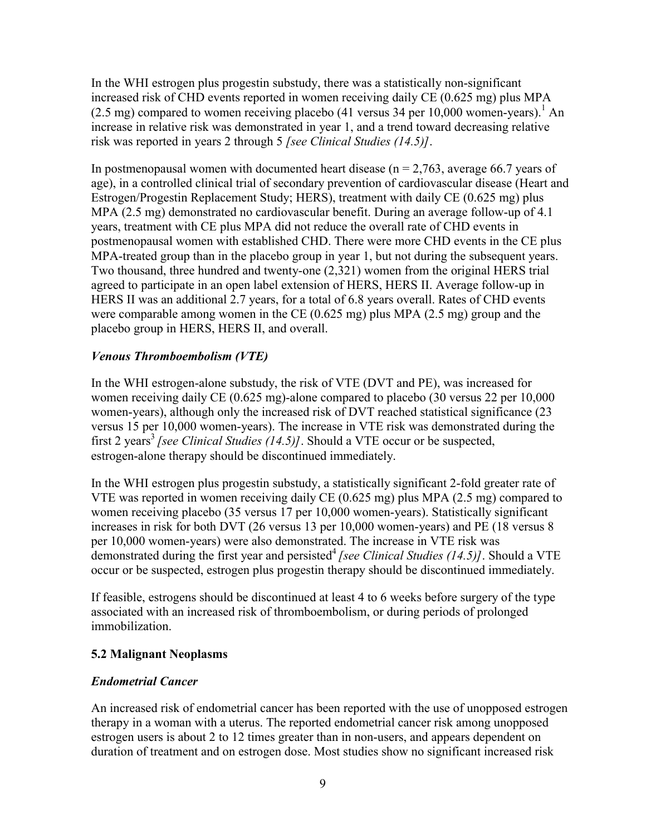In the WHI estrogen plus progestin substudy, there was a statistically non-significant increased risk of CHD events reported in women receiving daily CE (0.625 mg) plus MPA  $(2.5 \text{ mg})$  compared to women receiving placebo (41 versus 34 per 10,000 women-years).<sup>1</sup> An increase in relative risk was demonstrated in year 1, and a trend toward decreasing relative risk was reported in years 2 through 5 *[see Clinical Studies (14.5)]*.

In postmenopausal women with documented heart disease ( $n = 2,763$ , average 66.7 years of age), in a controlled clinical trial of secondary prevention of cardiovascular disease (Heart and Estrogen/Progestin Replacement Study; HERS), treatment with daily CE (0.625 mg) plus MPA (2.5 mg) demonstrated no cardiovascular benefit. During an average follow-up of 4.1 years, treatment with CE plus MPA did not reduce the overall rate of CHD events in postmenopausal women with established CHD. There were more CHD events in the CE plus MPA-treated group than in the placebo group in year 1, but not during the subsequent years. Two thousand, three hundred and twenty-one (2,321) women from the original HERS trial agreed to participate in an open label extension of HERS, HERS II. Average follow-up in HERS II was an additional 2.7 years, for a total of 6.8 years overall. Rates of CHD events were comparable among women in the CE (0.625 mg) plus MPA (2.5 mg) group and the placebo group in HERS, HERS II, and overall.

## *Venous Thromboembolism (VTE)*

In the WHI estrogen-alone substudy, the risk of VTE (DVT and PE), was increased for women receiving daily CE (0.625 mg)-alone compared to placebo (30 versus 22 per 10,000 women-years), although only the increased risk of DVT reached statistical significance (23 versus 15 per 10,000 women-years). The increase in VTE risk was demonstrated during the first 2 years<sup>3</sup> [see Clinical Studies  $(14.5)$ ]. Should a VTE occur or be suspected, estrogen-alone therapy should be discontinued immediately.

In the WHI estrogen plus progestin substudy, a statistically significant 2-fold greater rate of VTE was reported in women receiving daily CE (0.625 mg) plus MPA (2.5 mg) compared to women receiving placebo (35 versus 17 per 10,000 women-years). Statistically significant increases in risk for both DVT (26 versus 13 per 10,000 women-years) and PE (18 versus 8 per 10,000 women-years) were also demonstrated. The increase in VTE risk was demonstrated during the first year and persisted<sup>4</sup> [see Clinical Studies (14.5)]. Should a VTE occur or be suspected, estrogen plus progestin therapy should be discontinued immediately.

If feasible, estrogens should be discontinued at least 4 to 6 weeks before surgery of the type associated with an increased risk of thromboembolism, or during periods of prolonged immobilization.

## **5.2 Malignant Neoplasms**

## *Endometrial Cancer*

An increased risk of endometrial cancer has been reported with the use of unopposed estrogen therapy in a woman with a uterus. The reported endometrial cancer risk among unopposed estrogen users is about 2 to 12 times greater than in non-users, and appears dependent on duration of treatment and on estrogen dose. Most studies show no significant increased risk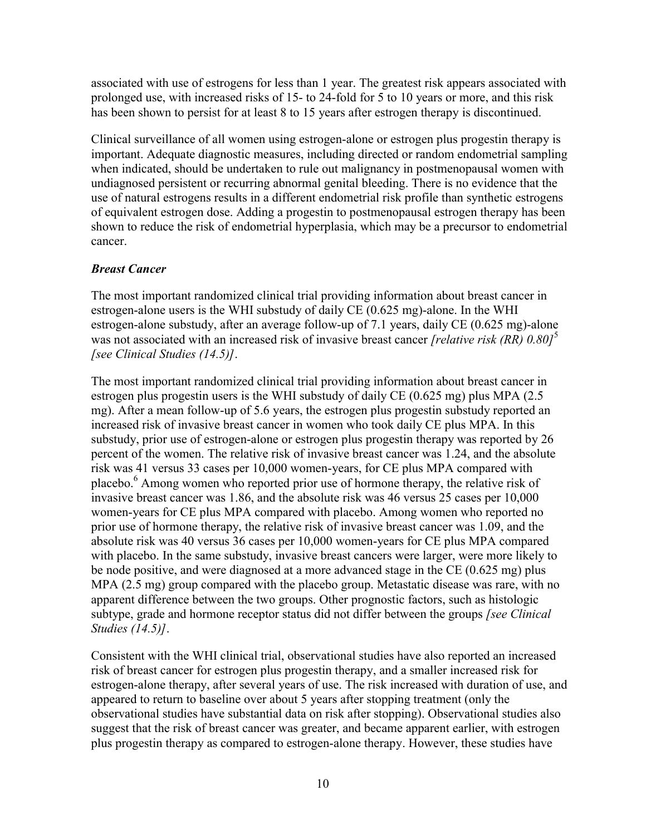associated with use of estrogens for less than 1 year. The greatest risk appears associated with prolonged use, with increased risks of 15- to 24-fold for 5 to 10 years or more, and this risk has been shown to persist for at least 8 to 15 years after estrogen therapy is discontinued.

Clinical surveillance of all women using estrogen-alone or estrogen plus progestin therapy is important. Adequate diagnostic measures, including directed or random endometrial sampling when indicated, should be undertaken to rule out malignancy in postmenopausal women with undiagnosed persistent or recurring abnormal genital bleeding. There is no evidence that the use of natural estrogens results in a different endometrial risk profile than synthetic estrogens of equivalent estrogen dose. Adding a progestin to postmenopausal estrogen therapy has been shown to reduce the risk of endometrial hyperplasia, which may be a precursor to endometrial cancer.

## *Breast Cancer*

The most important randomized clinical trial providing information about breast cancer in estrogen-alone users is the WHI substudy of daily CE (0.625 mg)-alone. In the WHI estrogen-alone substudy, after an average follow-up of 7.1 years, daily CE (0.625 mg)-alone was not associated with an increased risk of invasive breast cancer *[relative risk (RR) 0.80*<sup>5</sup> *[see Clinical Studies (14.5)]*.

The most important randomized clinical trial providing information about breast cancer in estrogen plus progestin users is the WHI substudy of daily CE (0.625 mg) plus MPA (2.5 mg). After a mean follow-up of 5.6 years, the estrogen plus progestin substudy reported an increased risk of invasive breast cancer in women who took daily CE plus MPA. In this substudy, prior use of estrogen-alone or estrogen plus progestin therapy was reported by 26 percent of the women. The relative risk of invasive breast cancer was 1.24, and the absolute risk was 41 versus 33 cases per 10,000 women-years, for CE plus MPA compared with placebo.<sup>6</sup> Among women who reported prior use of hormone therapy, the relative risk of invasive breast cancer was 1.86, and the absolute risk was 46 versus 25 cases per 10,000 women-years for CE plus MPA compared with placebo. Among women who reported no prior use of hormone therapy, the relative risk of invasive breast cancer was 1.09, and the absolute risk was 40 versus 36 cases per 10,000 women-years for CE plus MPA compared with placebo. In the same substudy, invasive breast cancers were larger, were more likely to be node positive, and were diagnosed at a more advanced stage in the CE (0.625 mg) plus MPA (2.5 mg) group compared with the placebo group. Metastatic disease was rare, with no apparent difference between the two groups. Other prognostic factors, such as histologic subtype, grade and hormone receptor status did not differ between the groups *[see Clinical Studies (14.5)]*.

Consistent with the WHI clinical trial, observational studies have also reported an increased risk of breast cancer for estrogen plus progestin therapy, and a smaller increased risk for estrogen-alone therapy, after several years of use. The risk increased with duration of use, and appeared to return to baseline over about 5 years after stopping treatment (only the observational studies have substantial data on risk after stopping). Observational studies also suggest that the risk of breast cancer was greater, and became apparent earlier, with estrogen plus progestin therapy as compared to estrogen-alone therapy. However, these studies have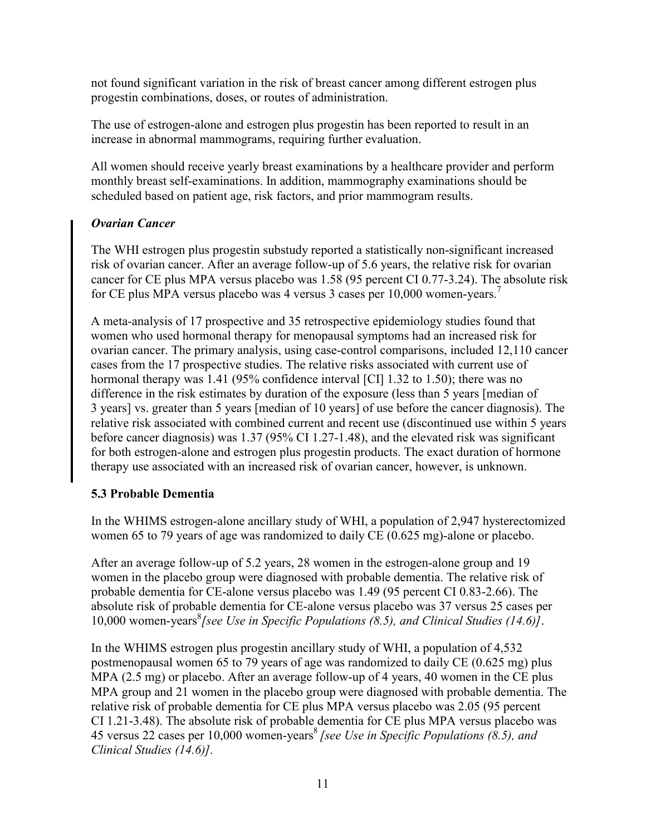not found significant variation in the risk of breast cancer among different estrogen plus progestin combinations, doses, or routes of administration.

The use of estrogen-alone and estrogen plus progestin has been reported to result in an increase in abnormal mammograms, requiring further evaluation.

All women should receive yearly breast examinations by a healthcare provider and perform monthly breast self-examinations. In addition, mammography examinations should be scheduled based on patient age, risk factors, and prior mammogram results.

# *Ovarian Cancer*

The WHI estrogen plus progestin substudy reported a statistically non-significant increased risk of ovarian cancer. After an average follow-up of 5.6 years, the relative risk for ovarian cancer for CE plus MPA versus placebo was 1.58 (95 percent CI 0.77-3.24). The absolute risk for CE plus MPA versus placebo was 4 versus 3 cases per  $10,000$  women-years.<sup>7</sup>

A meta-analysis of 17 prospective and 35 retrospective epidemiology studies found that women who used hormonal therapy for menopausal symptoms had an increased risk for ovarian cancer. The primary analysis, using case-control comparisons, included 12,110 cancer cases from the 17 prospective studies. The relative risks associated with current use of hormonal therapy was 1.41 (95% confidence interval [CI] 1.32 to 1.50); there was no difference in the risk estimates by duration of the exposure (less than 5 years [median of 3 years] vs. greater than 5 years [median of 10 years] of use before the cancer diagnosis). The relative risk associated with combined current and recent use (discontinued use within 5 years before cancer diagnosis) was 1.37 (95% CI 1.27-1.48), and the elevated risk was significant for both estrogen-alone and estrogen plus progestin products. The exact duration of hormone therapy use associated with an increased risk of ovarian cancer, however, is unknown.

# **5.3 Probable Dementia**

In the WHIMS estrogen-alone ancillary study of WHI, a population of 2,947 hysterectomized women 65 to 79 years of age was randomized to daily CE (0.625 mg)-alone or placebo.

After an average follow-up of 5.2 years, 28 women in the estrogen-alone group and 19 women in the placebo group were diagnosed with probable dementia. The relative risk of probable dementia for CE-alone versus placebo was 1.49 (95 percent CI 0.83-2.66). The absolute risk of probable dementia for CE-alone versus placebo was 37 versus 25 cases per 10,000 women-years<sup>8</sup>[see Use in Specific Populations (8.5), and Clinical Studies (14.6)].

In the WHIMS estrogen plus progestin ancillary study of WHI, a population of 4,532 postmenopausal women 65 to 79 years of age was randomized to daily CE (0.625 mg) plus MPA (2.5 mg) or placebo. After an average follow-up of 4 years, 40 women in the CE plus MPA group and 21 women in the placebo group were diagnosed with probable dementia. The relative risk of probable dementia for CE plus MPA versus placebo was 2.05 (95 percent CI 1.21-3.48). The absolute risk of probable dementia for CE plus MPA versus placebo was 45 versus 22 cases per 10,000 women-years<sup>8</sup>*[see Use in Specific Populations (8.5), and Clinical Studies (14.6)].*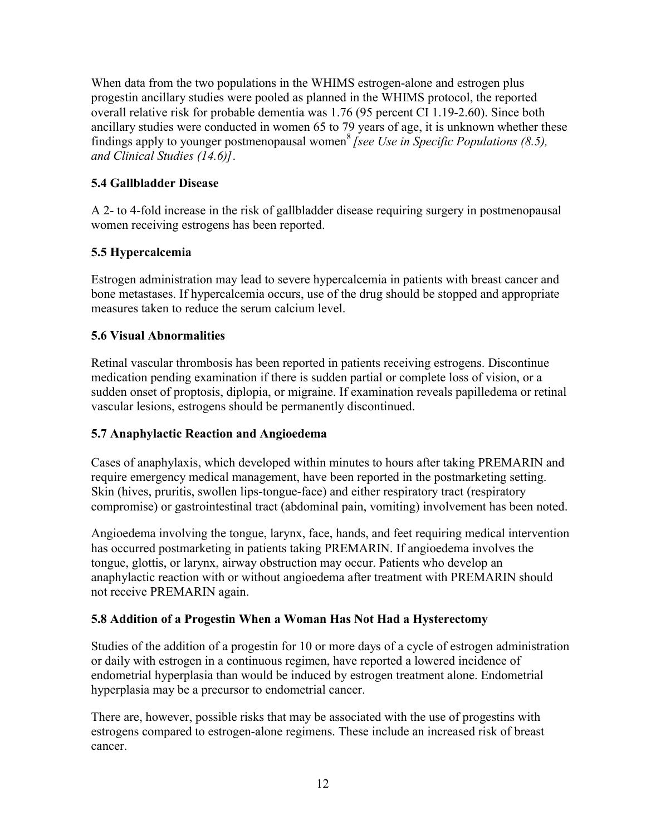When data from the two populations in the WHIMS estrogen-alone and estrogen plus progestin ancillary studies were pooled as planned in the WHIMS protocol, the reported overall relative risk for probable dementia was 1.76 (95 percent CI 1.19-2.60). Since both ancillary studies were conducted in women 65 to 79 years of age, it is unknown whether these findings apply to younger postmenopausal women<sup>8</sup> [see Use in Specific Populations  $(8.5)$ , *and Clinical Studies (14.6)]*.

# **5.4 Gallbladder Disease**

A 2- to 4-fold increase in the risk of gallbladder disease requiring surgery in postmenopausal women receiving estrogens has been reported.

# **5.5 Hypercalcemia**

Estrogen administration may lead to severe hypercalcemia in patients with breast cancer and bone metastases. If hypercalcemia occurs, use of the drug should be stopped and appropriate measures taken to reduce the serum calcium level.

# **5.6 Visual Abnormalities**

Retinal vascular thrombosis has been reported in patients receiving estrogens. Discontinue medication pending examination if there is sudden partial or complete loss of vision, or a sudden onset of proptosis, diplopia, or migraine. If examination reveals papilledema or retinal vascular lesions, estrogens should be permanently discontinued.

# **5.7 Anaphylactic Reaction and Angioedema**

Cases of anaphylaxis, which developed within minutes to hours after taking PREMARIN and require emergency medical management, have been reported in the postmarketing setting. Skin (hives, pruritis, swollen lips-tongue-face) and either respiratory tract (respiratory compromise) or gastrointestinal tract (abdominal pain, vomiting) involvement has been noted.

Angioedema involving the tongue, larynx, face, hands, and feet requiring medical intervention has occurred postmarketing in patients taking PREMARIN. If angioedema involves the tongue, glottis, or larynx, airway obstruction may occur. Patients who develop an anaphylactic reaction with or without angioedema after treatment with PREMARIN should not receive PREMARIN again.

# **5.8 Addition of a Progestin When a Woman Has Not Had a Hysterectomy**

Studies of the addition of a progestin for 10 or more days of a cycle of estrogen administration or daily with estrogen in a continuous regimen, have reported a lowered incidence of endometrial hyperplasia than would be induced by estrogen treatment alone. Endometrial hyperplasia may be a precursor to endometrial cancer.

There are, however, possible risks that may be associated with the use of progestins with estrogens compared to estrogen-alone regimens. These include an increased risk of breast cancer.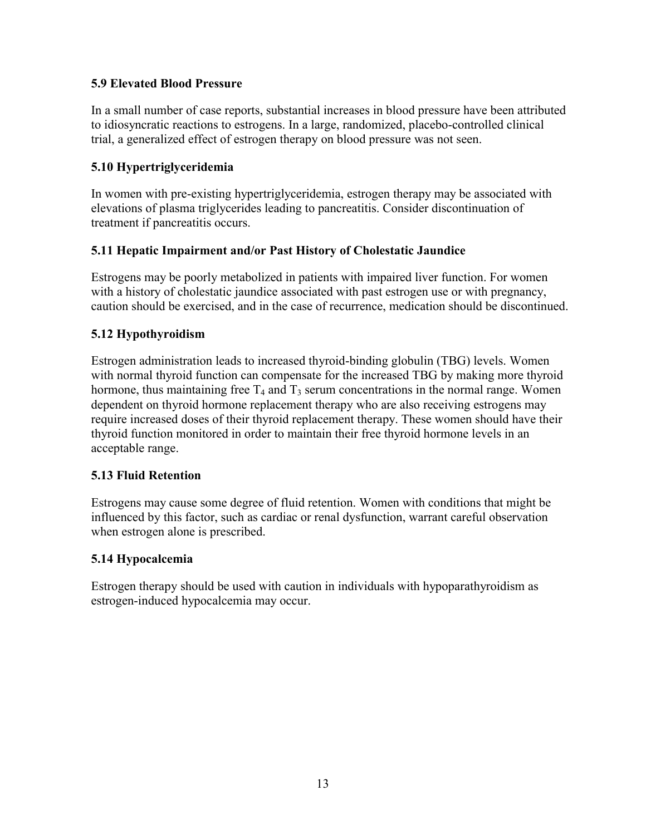## **5.9 Elevated Blood Pressure**

In a small number of case reports, substantial increases in blood pressure have been attributed to idiosyncratic reactions to estrogens. In a large, randomized, placebo-controlled clinical trial, a generalized effect of estrogen therapy on blood pressure was not seen.

## **5.10 Hypertriglyceridemia**

In women with pre-existing hypertriglyceridemia, estrogen therapy may be associated with elevations of plasma triglycerides leading to pancreatitis. Consider discontinuation of treatment if pancreatitis occurs.

## **5.11 Hepatic Impairment and/or Past History of Cholestatic Jaundice**

Estrogens may be poorly metabolized in patients with impaired liver function. For women with a history of cholestatic jaundice associated with past estrogen use or with pregnancy, caution should be exercised, and in the case of recurrence, medication should be discontinued.

# **5.12 Hypothyroidism**

Estrogen administration leads to increased thyroid-binding globulin (TBG) levels. Women with normal thyroid function can compensate for the increased TBG by making more thyroid hormone, thus maintaining free  $T_4$  and  $T_3$  serum concentrations in the normal range. Women dependent on thyroid hormone replacement therapy who are also receiving estrogens may require increased doses of their thyroid replacement therapy. These women should have their thyroid function monitored in order to maintain their free thyroid hormone levels in an acceptable range.

# **5.13 Fluid Retention**

Estrogens may cause some degree of fluid retention. Women with conditions that might be influenced by this factor, such as cardiac or renal dysfunction, warrant careful observation when estrogen alone is prescribed.

## **5.14 Hypocalcemia**

Estrogen therapy should be used with caution in individuals with hypoparathyroidism as estrogen-induced hypocalcemia may occur.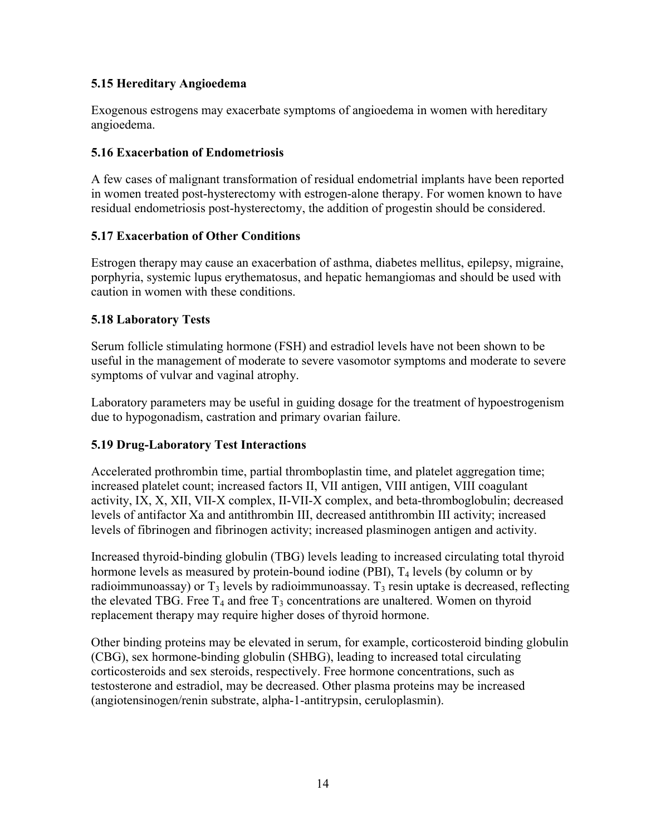## **5.15 Hereditary Angioedema**

Exogenous estrogens may exacerbate symptoms of angioedema in women with hereditary angioedema.

#### **5.16 Exacerbation of Endometriosis**

A few cases of malignant transformation of residual endometrial implants have been reported in women treated post-hysterectomy with estrogen-alone therapy. For women known to have residual endometriosis post-hysterectomy, the addition of progestin should be considered.

#### **5.17 Exacerbation of Other Conditions**

Estrogen therapy may cause an exacerbation of asthma, diabetes mellitus, epilepsy, migraine, porphyria, systemic lupus erythematosus, and hepatic hemangiomas and should be used with caution in women with these conditions.

#### **5.18 Laboratory Tests**

Serum follicle stimulating hormone (FSH) and estradiol levels have not been shown to be useful in the management of moderate to severe vasomotor symptoms and moderate to severe symptoms of vulvar and vaginal atrophy.

Laboratory parameters may be useful in guiding dosage for the treatment of hypoestrogenism due to hypogonadism, castration and primary ovarian failure.

## **5.19 Drug-Laboratory Test Interactions**

Accelerated prothrombin time, partial thromboplastin time, and platelet aggregation time; increased platelet count; increased factors II, VII antigen, VIII antigen, VIII coagulant activity, IX, X, XII, VII-X complex, II-VII-X complex, and beta-thromboglobulin; decreased levels of antifactor Xa and antithrombin III, decreased antithrombin III activity; increased levels of fibrinogen and fibrinogen activity; increased plasminogen antigen and activity.

Increased thyroid-binding globulin (TBG) levels leading to increased circulating total thyroid hormone levels as measured by protein-bound iodine (PBI),  $T_4$  levels (by column or by radioimmunoassay) or  $T_3$  levels by radioimmunoassay.  $T_3$  resin uptake is decreased, reflecting the elevated TBG. Free  $T_4$  and free  $T_3$  concentrations are unaltered. Women on thyroid replacement therapy may require higher doses of thyroid hormone.

Other binding proteins may be elevated in serum, for example, corticosteroid binding globulin (CBG), sex hormone-binding globulin (SHBG), leading to increased total circulating corticosteroids and sex steroids, respectively. Free hormone concentrations, such as testosterone and estradiol, may be decreased. Other plasma proteins may be increased (angiotensinogen/renin substrate, alpha-1-antitrypsin, ceruloplasmin).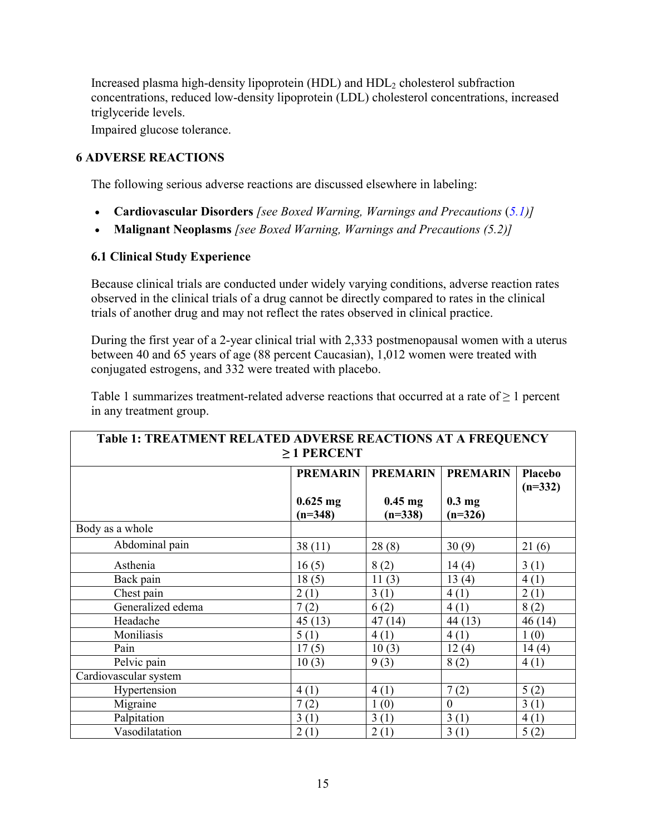Increased plasma high-density lipoprotein  $(HDL)$  and  $HDL<sub>2</sub>$  cholesterol subfraction concentrations, reduced low-density lipoprotein (LDL) cholesterol concentrations, increased triglyceride levels.

Impaired glucose tolerance.

## **6 ADVERSE REACTIONS**

Г

The following serious adverse reactions are discussed elsewhere in labeling:

- **Cardiovascular Disorders** *[see Boxed Warning, Warnings and Precautions* (*[5.1](#page-7-0))]*
- **Malignant Neoplasms** *[see Boxed Warning, Warnings and Precautions (5.2)]*

## **6.1 Clinical Study Experience**

Because clinical trials are conducted under widely varying conditions, adverse reaction rates observed in the clinical trials of a drug cannot be directly compared to rates in the clinical trials of another drug and may not reflect the rates observed in clinical practice.

During the first year of a 2-year clinical trial with 2,333 postmenopausal women with a uterus between 40 and 65 years of age (88 percent Caucasian), 1,012 women were treated with conjugated estrogens, and 332 were treated with placebo.

Table 1 summarizes treatment-related adverse reactions that occurred at a rate of  $\geq 1$  percent in any treatment group.

**Table 1: TREATMENT RELATED ADVERSE REACTIONS AT A FREQUENCY**

| TADIE 1. TREATMENT RELATED ADVERSE REAUTIONS AT A FREQUENUT<br>$\geq$ 1 PERCENT |                         |                        |                       |                      |  |
|---------------------------------------------------------------------------------|-------------------------|------------------------|-----------------------|----------------------|--|
|                                                                                 | <b>PREMARIN</b>         | <b>PREMARIN</b>        | <b>PREMARIN</b>       | Placebo<br>$(n=332)$ |  |
|                                                                                 | $0.625$ mg<br>$(n=348)$ | $0.45$ mg<br>$(n=338)$ | $0.3$ mg<br>$(n=326)$ |                      |  |
| Body as a whole                                                                 |                         |                        |                       |                      |  |
| Abdominal pain                                                                  | 38(11)                  | 28(8)                  | 30(9)                 | 21(6)                |  |
| Asthenia                                                                        | 16(5)                   | 8(2)                   | 14(4)                 | 3(1)                 |  |
| Back pain                                                                       | 18(5)                   | 11(3)                  | 13(4)                 | 4(1)                 |  |
| Chest pain                                                                      | 2(1)                    | 3(1)                   | 4(1)                  | 2(1)                 |  |
| Generalized edema                                                               | 7(2)                    | 6(2)                   | 4(1)                  | 8(2)                 |  |
| Headache                                                                        | 45(13)                  | 47(14)                 | 44 (13)               | 46(14)               |  |
| Moniliasis                                                                      | 5(1)                    | 4(1)                   | 4(1)                  | 1(0)                 |  |
| Pain                                                                            | 17(5)                   | 10(3)                  | 12(4)                 | 14(4)                |  |
| Pelvic pain                                                                     | 10(3)                   | 9(3)                   | 8(2)                  | 4(1)                 |  |
| Cardiovascular system                                                           |                         |                        |                       |                      |  |
| Hypertension                                                                    | 4(1)                    | 4(1)                   | 7(2)                  | 5(2)                 |  |
| Migraine                                                                        | 7(2)                    | 1(0)                   | $\theta$              | 3(1)                 |  |
| Palpitation                                                                     | 3(1)                    | 3(1)                   | 3(1)                  | 4(1)                 |  |
| Vasodilatation                                                                  | 2(1)                    | 2(1)                   | 3(1)                  | 5(2)                 |  |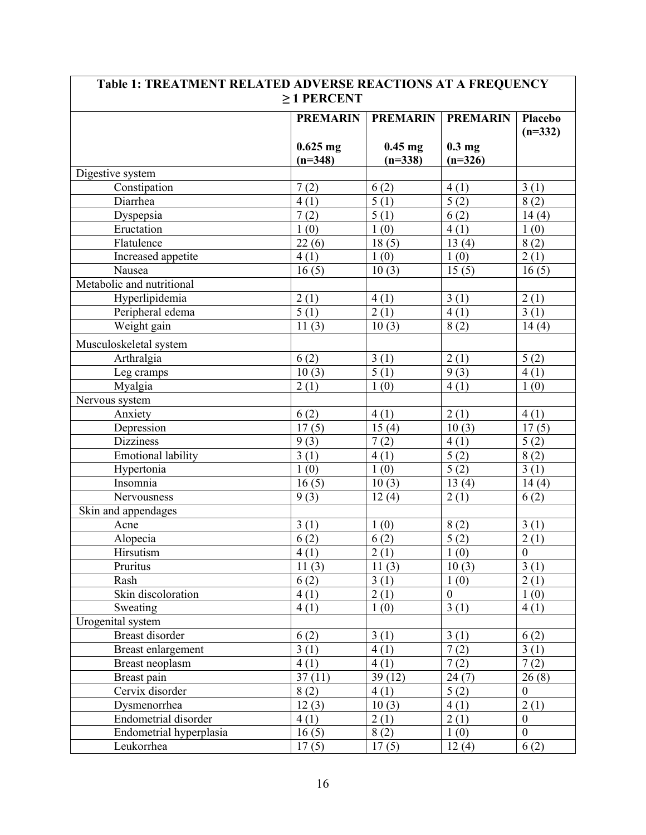|                           | Table 1: TREATMENT RELATED ADVERSE REACTIONS AT A FREQUENCY<br>$\geq$ 1 PERCENT |                        |                       |                             |  |
|---------------------------|---------------------------------------------------------------------------------|------------------------|-----------------------|-----------------------------|--|
|                           | <b>PREMARIN</b>                                                                 | <b>PREMARIN</b>        | <b>PREMARIN</b>       | <b>Placebo</b><br>$(n=332)$ |  |
|                           | $0.625$ mg<br>$(n=348)$                                                         | $0.45$ mg<br>$(n=338)$ | $0.3$ mg<br>$(n=326)$ |                             |  |
| Digestive system          |                                                                                 |                        |                       |                             |  |
| Constipation              | 7(2)                                                                            | 6(2)                   | 4(1)                  | 3(1)                        |  |
| Diarrhea                  | 4(1)                                                                            | 5(1)                   | 5(2)                  | 8(2)                        |  |
| Dyspepsia                 | 7(2)                                                                            | 5(1)                   | 6(2)                  | 14(4)                       |  |
| Eructation                | 1(0)                                                                            | 1(0)                   | 4(1)                  | 1(0)                        |  |
| Flatulence                | 22(6)                                                                           | 18(5)                  | 13(4)                 | 8(2)                        |  |
| Increased appetite        | 4(1)                                                                            | 1(0)                   | 1(0)                  | 2(1)                        |  |
| Nausea                    | 16(5)                                                                           | 10(3)                  | 15(5)                 | 16(5)                       |  |
| Metabolic and nutritional |                                                                                 |                        |                       |                             |  |
| Hyperlipidemia            | 2(1)                                                                            | 4(1)                   | 3(1)                  | 2(1)                        |  |
| Peripheral edema          | $\overline{5(1)}$                                                               | 2(1)                   | 4(1)                  | 3(1)                        |  |
| Weight gain               | 11(3)                                                                           | 10(3)                  | 8(2)                  | 14(4)                       |  |
| Musculoskeletal system    |                                                                                 |                        |                       |                             |  |
| Arthralgia                | 6(2)                                                                            | 3(1)                   | 2(1)                  | 5(2)                        |  |
| Leg cramps                | 10(3)                                                                           | 5(1)                   | 9(3)                  | 4(1)                        |  |
| Myalgia                   | 2(1)                                                                            | 1(0)                   | 4(1)                  | 1(0)                        |  |
| Nervous system            |                                                                                 |                        |                       |                             |  |
| Anxiety                   | 6(2)                                                                            | 4(1)                   | 2(1)                  | 4(1)                        |  |
| Depression                | 17(5)                                                                           | 15(4)                  | 10(3)                 | 17(5)                       |  |
| <b>Dizziness</b>          | 9(3)                                                                            | 7(2)                   | 4(1)                  | 5(2)                        |  |
| Emotional lability        | 3(1)                                                                            | 4(1)                   | 5(2)                  | 8(2)                        |  |
| Hypertonia                | 1(0)                                                                            | 1(0)                   | 5(2)                  | 3(1)                        |  |
| Insomnia                  | 16(5)                                                                           | 10(3)                  | 13(4)                 | 14(4)                       |  |
| Nervousness               | 9(3)                                                                            | 12(4)                  | 2(1)                  | 6(2)                        |  |
| Skin and appendages       |                                                                                 |                        |                       |                             |  |
| Acne                      | 3(1)                                                                            | 1(0)                   | 8(2)                  | 3(1)                        |  |
| Alopecia                  | 6(2)                                                                            | 6(2)                   | 5(2)                  | 2(1)                        |  |
| Hirsutism                 | 4(1)                                                                            | 2(1)                   | 1(0)                  | $\overline{0}$              |  |
| Pruritus                  | 11(3)                                                                           | 11(3)                  | 10(3)                 | $\overline{3}(1)$           |  |
| Rash                      | 6(2)                                                                            | 3(1)                   | 1(0)                  | 2(1)                        |  |
| Skin discoloration        | 4(1)                                                                            | 2(1)                   | $\mathbf{0}$          | 1(0)                        |  |
| Sweating                  | 4(1)                                                                            | 1(0)                   | 3(1)                  | 4(1)                        |  |
| Urogenital system         |                                                                                 |                        |                       |                             |  |
| Breast disorder           | 6(2)                                                                            | 3(1)                   | 3(1)                  | 6(2)                        |  |
| Breast enlargement        | 3(1)                                                                            | 4(1)                   | 7(2)                  | 3(1)                        |  |
| Breast neoplasm           | 4(1)                                                                            | 4(1)                   | 7(2)                  | 7(2)                        |  |
| Breast pain               | 37(11)                                                                          | 39(12)                 | 24(7)                 | 26(8)                       |  |
| Cervix disorder           | 8(2)                                                                            | 4(1)                   | 5(2)                  | $\boldsymbol{0}$            |  |
| Dysmenorrhea              | 12(3)                                                                           | 10(3)                  | 4(1)                  | 2(1)                        |  |
| Endometrial disorder      | 4(1)                                                                            | 2(1)                   | 2(1)                  | $\boldsymbol{0}$            |  |
| Endometrial hyperplasia   | 16(5)                                                                           | 8(2)                   | 1(0)                  | $\mathbf{0}$                |  |
| Leukorrhea                | 17(5)                                                                           | 17(5)                  | 12(4)                 | 6(2)                        |  |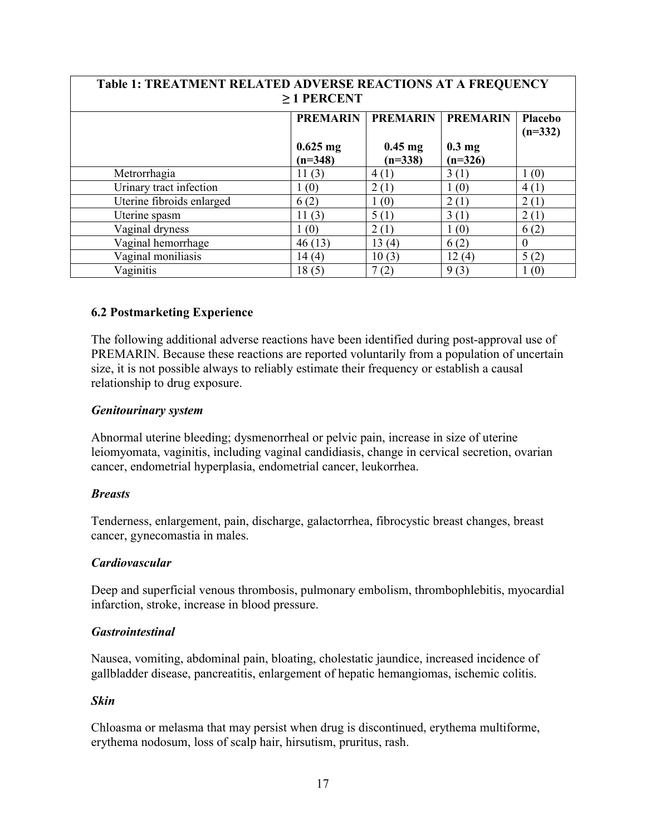| <b>Table 1: TREATMENT RELATED ADVERSE REACTIONS AT A FREQUENCY</b><br>$\geq$ 1 PERCENT |                         |                        |                               |                             |  |
|----------------------------------------------------------------------------------------|-------------------------|------------------------|-------------------------------|-----------------------------|--|
|                                                                                        | <b>PREMARIN</b>         | <b>PREMARIN</b>        | <b>PREMARIN</b>               | <b>Placebo</b><br>$(n=332)$ |  |
|                                                                                        | $0.625$ mg<br>$(n=348)$ | $0.45$ mg<br>$(n=338)$ | $0.3 \text{ mg}$<br>$(n=326)$ |                             |  |
| Metrorrhagia                                                                           | 11(3)                   | 4(1)                   | 3(1)                          | 1(0)                        |  |
| Urinary tract infection                                                                | 1(0)                    | 2(1)                   | 1(0)                          | 4(1)                        |  |
| Uterine fibroids enlarged                                                              | 6(2)                    | (0)                    | 2(1)                          | 2(1)                        |  |
| Uterine spasm                                                                          | 11(3)                   | 5(1)                   | 3(1)                          | 2(1)                        |  |
| Vaginal dryness                                                                        | 1(0)                    | 2(1)                   | 1(0)                          | 6(2)                        |  |
| Vaginal hemorrhage                                                                     | 46(13)                  | 13(4)                  | 6(2)                          | $\theta$                    |  |
| Vaginal moniliasis                                                                     | 14(4)                   | 10(3)                  | 12(4)                         | 5(2)                        |  |
| Vaginitis                                                                              | 18(5)                   | 7(2)                   | 9(3)                          | 1(0)                        |  |

## **6.2 Postmarketing Experience**

The following additional adverse reactions have been identified during post-approval use of PREMARIN. Because these reactions are reported voluntarily from a population of uncertain size, it is not possible always to reliably estimate their frequency or establish a causal relationship to drug exposure.

#### *Genitourinary system*

Abnormal uterine bleeding; dysmenorrheal or pelvic pain, increase in size of uterine leiomyomata, vaginitis, including vaginal candidiasis, change in cervical secretion, ovarian cancer, endometrial hyperplasia, endometrial cancer, leukorrhea.

#### *Breasts*

Tenderness, enlargement, pain, discharge, galactorrhea, fibrocystic breast changes, breast cancer, gynecomastia in males.

#### *Cardiovascular*

Deep and superficial venous thrombosis, pulmonary embolism, thrombophlebitis, myocardial infarction, stroke, increase in blood pressure.

#### *Gastrointestinal*

Nausea, vomiting, abdominal pain, bloating, cholestatic jaundice, increased incidence of gallbladder disease, pancreatitis, enlargement of hepatic hemangiomas, ischemic colitis.

#### *Skin*

Chloasma or melasma that may persist when drug is discontinued, erythema multiforme, erythema nodosum, loss of scalp hair, hirsutism, pruritus, rash.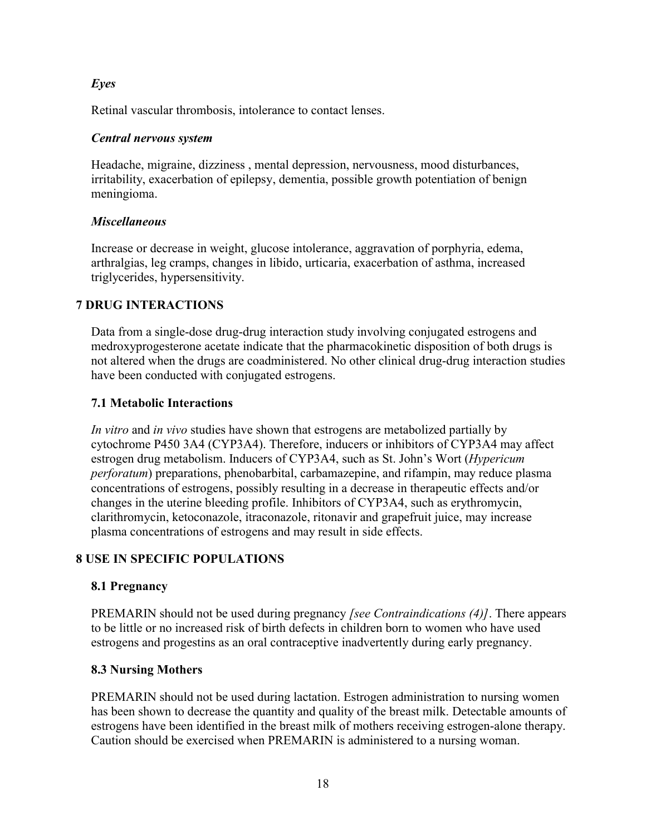## *Eyes*

Retinal vascular thrombosis, intolerance to contact lenses.

#### *Central nervous system*

Headache, migraine, dizziness , mental depression, nervousness, mood disturbances, irritability, exacerbation of epilepsy, dementia, possible growth potentiation of benign meningioma.

## *Miscellaneous*

Increase or decrease in weight, glucose intolerance, aggravation of porphyria, edema, arthralgias, leg cramps, changes in libido, urticaria, exacerbation of asthma, increased triglycerides, hypersensitivity.

# **7 DRUG INTERACTIONS**

Data from a single-dose drug-drug interaction study involving conjugated estrogens and medroxyprogesterone acetate indicate that the pharmacokinetic disposition of both drugs is not altered when the drugs are coadministered. No other clinical drug-drug interaction studies have been conducted with conjugated estrogens.

## **7.1 Metabolic Interactions**

*In vitro* and *in vivo* studies have shown that estrogens are metabolized partially by cytochrome P450 3A4 (CYP3A4). Therefore, inducers or inhibitors of CYP3A4 may affect estrogen drug metabolism. Inducers of CYP3A4, such as St. John's Wort (*Hypericum perforatum*) preparations, phenobarbital, carbamazepine, and rifampin, may reduce plasma concentrations of estrogens, possibly resulting in a decrease in therapeutic effects and/or changes in the uterine bleeding profile. Inhibitors of CYP3A4, such as erythromycin, clarithromycin, ketoconazole, itraconazole, ritonavir and grapefruit juice, may increase plasma concentrations of estrogens and may result in side effects.

# **8 USE IN SPECIFIC POPULATIONS**

## **8.1 Pregnancy**

PREMARIN should not be used during pregnancy *[see Contraindications (4)]*. There appears to be little or no increased risk of birth defects in children born to women who have used estrogens and progestins as an oral contraceptive inadvertently during early pregnancy.

## **8.3 Nursing Mothers**

PREMARIN should not be used during lactation. Estrogen administration to nursing women has been shown to decrease the quantity and quality of the breast milk. Detectable amounts of estrogens have been identified in the breast milk of mothers receiving estrogen-alone therapy. Caution should be exercised when PREMARIN is administered to a nursing woman.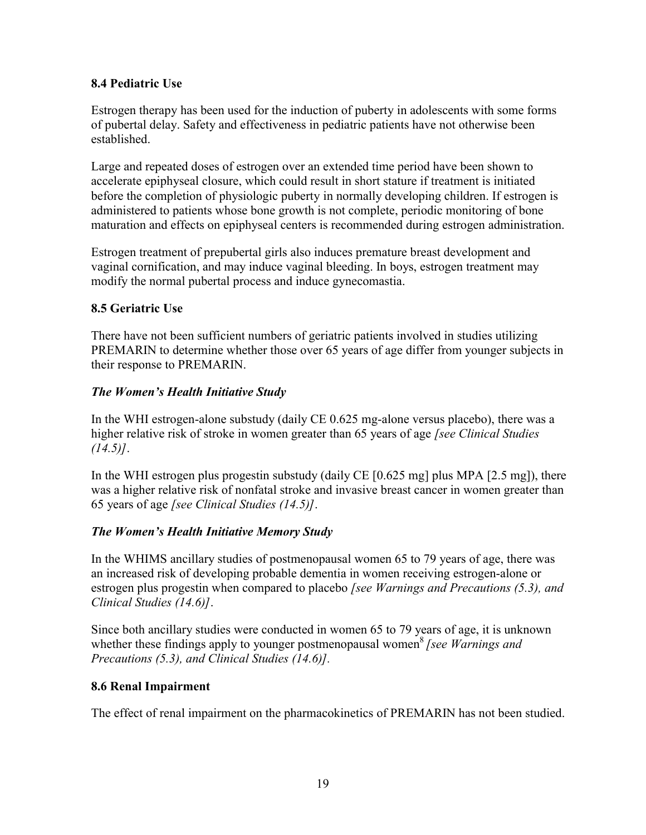## **8.4 Pediatric Use**

Estrogen therapy has been used for the induction of puberty in adolescents with some forms of pubertal delay. Safety and effectiveness in pediatric patients have not otherwise been established.

Large and repeated doses of estrogen over an extended time period have been shown to accelerate epiphyseal closure, which could result in short stature if treatment is initiated before the completion of physiologic puberty in normally developing children. If estrogen is administered to patients whose bone growth is not complete, periodic monitoring of bone maturation and effects on epiphyseal centers is recommended during estrogen administration.

Estrogen treatment of prepubertal girls also induces premature breast development and vaginal cornification, and may induce vaginal bleeding. In boys, estrogen treatment may modify the normal pubertal process and induce gynecomastia.

## **8.5 Geriatric Use**

There have not been sufficient numbers of geriatric patients involved in studies utilizing PREMARIN to determine whether those over 65 years of age differ from younger subjects in their response to PREMARIN.

## *The Women's Health Initiative Study*

In the WHI estrogen-alone substudy (daily CE 0.625 mg-alone versus placebo), there was a higher relative risk of stroke in women greater than 65 years of age *[see Clinical Studies (14.5)]*.

In the WHI estrogen plus progestin substudy (daily CE [0.625 mg] plus MPA [2.5 mg]), there was a higher relative risk of nonfatal stroke and invasive breast cancer in women greater than 65 years of age *[see Clinical Studies (14.5)]*.

## *The Women's Health Initiative Memory Study*

In the WHIMS ancillary studies of postmenopausal women 65 to 79 years of age, there was an increased risk of developing probable dementia in women receiving estrogen-alone or estrogen plus progestin when compared to placebo *[see Warnings and Precautions (5.3), and Clinical Studies (14.6)]*.

Since both ancillary studies were conducted in women 65 to 79 years of age, it is unknown whether these findings apply to younger postmenopausal women<sup>8</sup> [see Warnings and *Precautions (5.3), and Clinical Studies (14.6)].*

# **8.6 Renal Impairment**

The effect of renal impairment on the pharmacokinetics of PREMARIN has not been studied.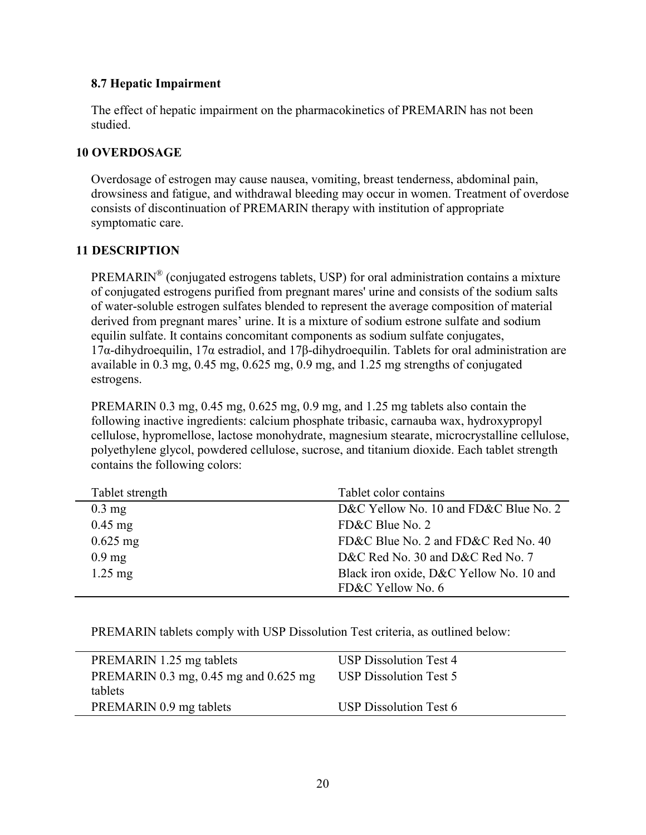#### **8.7 Hepatic Impairment**

The effect of hepatic impairment on the pharmacokinetics of PREMARIN has not been studied.

#### **10 OVERDOSAGE**

Overdosage of estrogen may cause nausea, vomiting, breast tenderness, abdominal pain, drowsiness and fatigue, and withdrawal bleeding may occur in women. Treatment of overdose consists of discontinuation of PREMARIN therapy with institution of appropriate symptomatic care.

## **11 DESCRIPTION**

PREMARIN $^{\circ}$  (conjugated estrogens tablets, USP) for oral administration contains a mixture of conjugated estrogens purified from pregnant mares' urine and consists of the sodium salts of water-soluble estrogen sulfates blended to represent the average composition of material derived from pregnant mares' urine. It is a mixture of sodium estrone sulfate and sodium equilin sulfate. It contains concomitant components as sodium sulfate conjugates, 17α-dihydroequilin, 17α estradiol, and 17β-dihydroequilin. Tablets for oral administration are available in 0.3 mg, 0.45 mg, 0.625 mg, 0.9 mg, and 1.25 mg strengths of conjugated estrogens.

PREMARIN 0.3 mg, 0.45 mg, 0.625 mg, 0.9 mg, and 1.25 mg tablets also contain the following inactive ingredients: calcium phosphate tribasic, carnauba wax, hydroxypropyl cellulose, hypromellose, lactose monohydrate, magnesium stearate, microcrystalline cellulose, polyethylene glycol, powdered cellulose, sucrose, and titanium dioxide. Each tablet strength contains the following colors:

| Tablet strength  | Tablet color contains                   |
|------------------|-----------------------------------------|
| $0.3 \text{ mg}$ | D&C Yellow No. 10 and FD&C Blue No. 2   |
| $0.45$ mg        | FD&C Blue No. 2                         |
| $0.625$ mg       | FD&C Blue No. 2 and FD&C Red No. 40     |
| $0.9$ mg         | D&C Red No. 30 and D&C Red No. 7        |
| $1.25$ mg        | Black iron oxide, D&C Yellow No. 10 and |
|                  | FD&C Yellow No. 6                       |

PREMARIN tablets comply with USP Dissolution Test criteria, as outlined below:

| PREMARIN 1.25 mg tablets              | <b>USP</b> Dissolution Test 4 |
|---------------------------------------|-------------------------------|
| PREMARIN 0.3 mg, 0.45 mg and 0.625 mg | <b>USP Dissolution Test 5</b> |
| tablets                               |                               |
| PREMARIN 0.9 mg tablets               | <b>USP</b> Dissolution Test 6 |
|                                       |                               |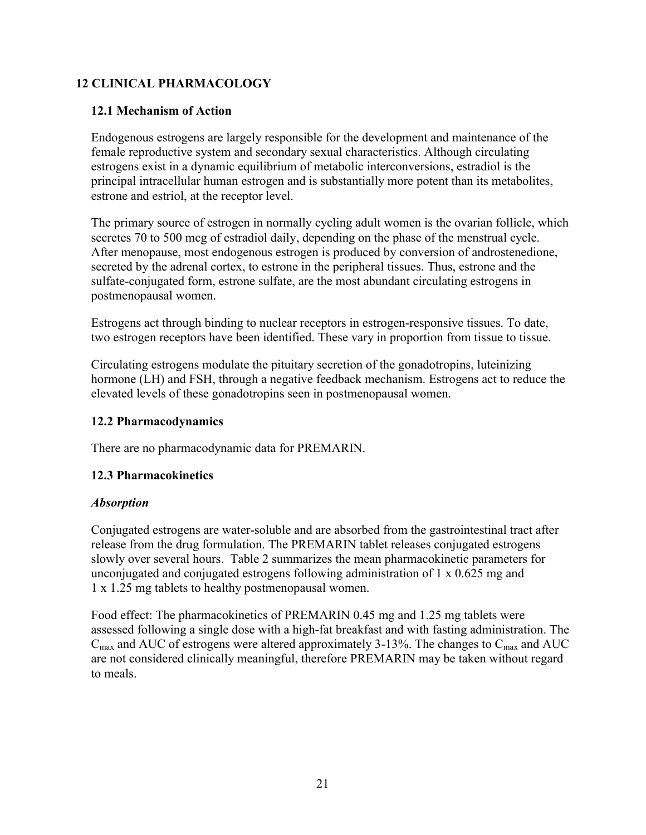## **12 CLINICAL PHARMACOLOGY**

## **12.1 Mechanism of Action**

Endogenous estrogens are largely responsible for the development and maintenance of the female reproductive system and secondary sexual characteristics. Although circulating estrogens exist in a dynamic equilibrium of metabolic interconversions, estradiol is the principal intracellular human estrogen and is substantially more potent than its metabolites, estrone and estriol, at the receptor level.

The primary source of estrogen in normally cycling adult women is the ovarian follicle, which secretes 70 to 500 mcg of estradiol daily, depending on the phase of the menstrual cycle. After menopause, most endogenous estrogen is produced by conversion of androstenedione, secreted by the adrenal cortex, to estrone in the peripheral tissues. Thus, estrone and the sulfate-conjugated form, estrone sulfate, are the most abundant circulating estrogens in postmenopausal women.

Estrogens act through binding to nuclear receptors in estrogen-responsive tissues. To date, two estrogen receptors have been identified. These vary in proportion from tissue to tissue.

Circulating estrogens modulate the pituitary secretion of the gonadotropins, luteinizing hormone (LH) and FSH, through a negative feedback mechanism. Estrogens act to reduce the elevated levels of these gonadotropins seen in postmenopausal women.

#### **12.2 Pharmacodynamics**

There are no pharmacodynamic data for PREMARIN.

## **12.3 Pharmacokinetics**

#### *Absorption*

Conjugated estrogens are water-soluble and are absorbed from the gastrointestinal tract after release from the drug formulation. The PREMARIN tablet releases conjugated estrogens slowly over several hours. Table 2 summarizes the mean pharmacokinetic parameters for unconjugated and conjugated estrogens following administration of 1 x 0.625 mg and 1 x 1.25 mg tablets to healthy postmenopausal women.

Food effect: The pharmacokinetics of PREMARIN 0.45 mg and 1.25 mg tablets were assessed following a single dose with a high-fat breakfast and with fasting administration. The  $C_{\text{max}}$  and AUC of estrogens were altered approximately 3-13%. The changes to  $C_{\text{max}}$  and AUC are not considered clinically meaningful, therefore PREMARIN may be taken without regard to meals.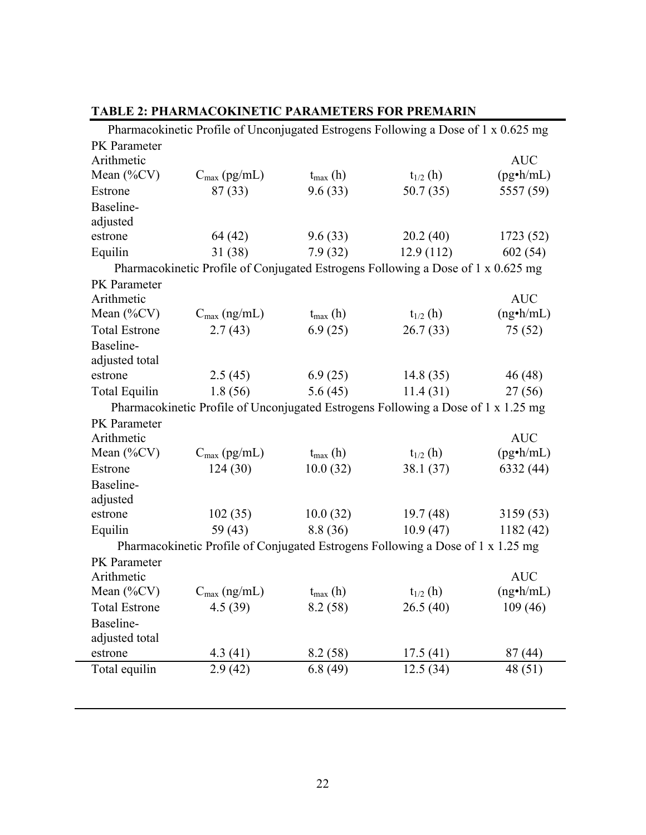|                      | Pharmacokinetic Profile of Unconjugated Estrogens Following a Dose of 1 x 0.625 mg |                      |               |                  |
|----------------------|------------------------------------------------------------------------------------|----------------------|---------------|------------------|
| PK Parameter         |                                                                                    |                      |               |                  |
| Arithmetic           |                                                                                    |                      |               | <b>AUC</b>       |
| Mean $(\%CV)$        | $C_{\text{max}}$ (pg/mL)                                                           | $t_{\text{max}}$ (h) | $t_{1/2}$ (h) | $(pg\cdot h/mL)$ |
| Estrone              | 87(33)                                                                             | 9.6(33)              | 50.7(35)      | 5557 (59)        |
| Baseline-            |                                                                                    |                      |               |                  |
| adjusted             |                                                                                    |                      |               |                  |
| estrone              | 64(42)                                                                             | 9.6(33)              | 20.2(40)      | 1723 (52)        |
| Equilin              | 31(38)                                                                             | 7.9(32)              | 12.9(112)     | 602(54)          |
|                      | Pharmacokinetic Profile of Conjugated Estrogens Following a Dose of 1 x 0.625 mg   |                      |               |                  |
| PK Parameter         |                                                                                    |                      |               |                  |
| Arithmetic           |                                                                                    |                      |               | <b>AUC</b>       |
| Mean $(\%CV)$        | $C_{\text{max}}$ (ng/mL)                                                           | $t_{\text{max}}$ (h) | $t_{1/2}$ (h) | $(ng\cdot h/mL)$ |
| <b>Total Estrone</b> | 2.7(43)                                                                            | 6.9(25)              | 26.7(33)      | 75 (52)          |
| Baseline-            |                                                                                    |                      |               |                  |
| adjusted total       |                                                                                    |                      |               |                  |
| estrone              | 2.5(45)                                                                            | 6.9(25)              | 14.8(35)      | 46 (48)          |
| Total Equilin        | 1.8(56)                                                                            | 5.6(45)              | 11.4(31)      | 27(56)           |
|                      | Pharmacokinetic Profile of Unconjugated Estrogens Following a Dose of 1 x 1.25 mg  |                      |               |                  |
| PK Parameter         |                                                                                    |                      |               |                  |
| Arithmetic           |                                                                                    |                      |               | <b>AUC</b>       |
| Mean $(\%CV)$        | $C_{\text{max}}$ (pg/mL)                                                           | $t_{\text{max}}$ (h) | $t_{1/2}$ (h) | $(pg\cdot h/mL)$ |
| Estrone              | 124(30)                                                                            | 10.0(32)             | 38.1 (37)     | 6332 (44)        |
| Baseline-            |                                                                                    |                      |               |                  |
| adjusted             |                                                                                    |                      |               |                  |
| estrone              | 102(35)                                                                            | 10.0(32)             | 19.7(48)      | 3159(53)         |
| Equilin              | 59 $(43)$                                                                          | 8.8(36)              | 10.9(47)      | 1182(42)         |
|                      | Pharmacokinetic Profile of Conjugated Estrogens Following a Dose of 1 x 1.25 mg    |                      |               |                  |
| PK Parameter         |                                                                                    |                      |               |                  |
| Arithmetic           |                                                                                    |                      |               | <b>AUC</b>       |
| Mean (%CV)           | $C_{\text{max}}$ (ng/mL)                                                           | $t_{\text{max}}$ (h) | $t_{1/2}$ (h) | $(ng\cdot h/mL)$ |
| <b>Total Estrone</b> | 4.5(39)                                                                            | 8.2(58)              | 26.5(40)      | 109(46)          |
| Baseline-            |                                                                                    |                      |               |                  |
| adjusted total       |                                                                                    |                      |               |                  |
| estrone              | 4.3(41)                                                                            | 8.2(58)              | 17.5(41)      | 87 (44)          |
| Total equilin        | 2.9(42)                                                                            | 6.8(49)              | 12.5(34)      | 48 (51)          |
|                      |                                                                                    |                      |               |                  |

# **TABLE 2: PHARMACOKINETIC PARAMETERS FOR PREMARIN**

L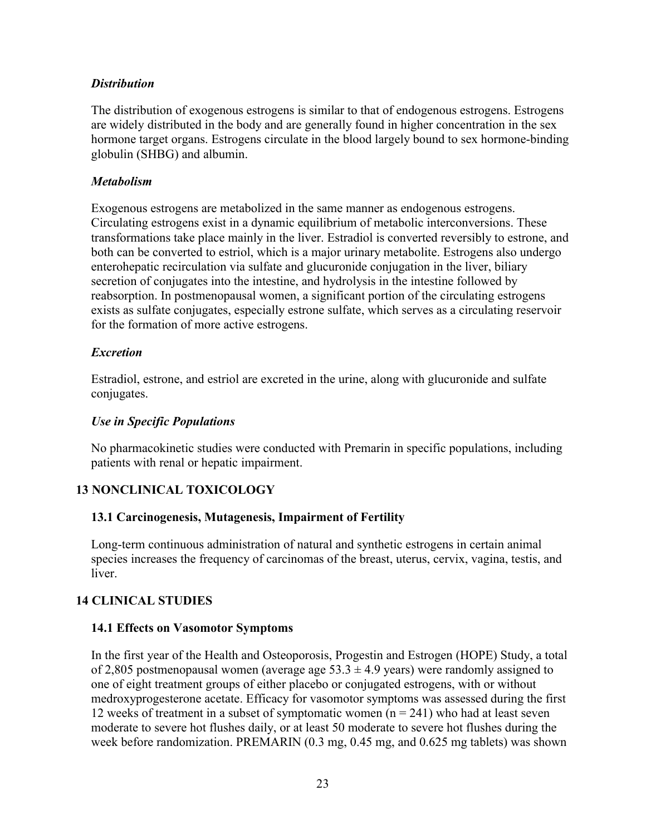#### *Distribution*

The distribution of exogenous estrogens is similar to that of endogenous estrogens. Estrogens are widely distributed in the body and are generally found in higher concentration in the sex hormone target organs. Estrogens circulate in the blood largely bound to sex hormone-binding globulin (SHBG) and albumin.

#### *Metabolism*

Exogenous estrogens are metabolized in the same manner as endogenous estrogens. Circulating estrogens exist in a dynamic equilibrium of metabolic interconversions. These transformations take place mainly in the liver. Estradiol is converted reversibly to estrone, and both can be converted to estriol, which is a major urinary metabolite. Estrogens also undergo enterohepatic recirculation via sulfate and glucuronide conjugation in the liver, biliary secretion of conjugates into the intestine, and hydrolysis in the intestine followed by reabsorption. In postmenopausal women, a significant portion of the circulating estrogens exists as sulfate conjugates, especially estrone sulfate, which serves as a circulating reservoir for the formation of more active estrogens.

#### *Excretion*

Estradiol, estrone, and estriol are excreted in the urine, along with glucuronide and sulfate conjugates.

#### *Use in Specific Populations*

No pharmacokinetic studies were conducted with Premarin in specific populations, including patients with renal or hepatic impairment.

## **13 NONCLINICAL TOXICOLOGY**

## **13.1 Carcinogenesis, Mutagenesis, Impairment of Fertility**

Long-term continuous administration of natural and synthetic estrogens in certain animal species increases the frequency of carcinomas of the breast, uterus, cervix, vagina, testis, and liver.

## **14 CLINICAL STUDIES**

#### **14.1 Effects on Vasomotor Symptoms**

In the first year of the Health and Osteoporosis, Progestin and Estrogen (HOPE) Study, a total of 2,805 postmenopausal women (average age  $53.3 \pm 4.9$  years) were randomly assigned to one of eight treatment groups of either placebo or conjugated estrogens, with or without medroxyprogesterone acetate. Efficacy for vasomotor symptoms was assessed during the first 12 weeks of treatment in a subset of symptomatic women  $(n = 241)$  who had at least seven moderate to severe hot flushes daily, or at least 50 moderate to severe hot flushes during the week before randomization. PREMARIN (0.3 mg, 0.45 mg, and 0.625 mg tablets) was shown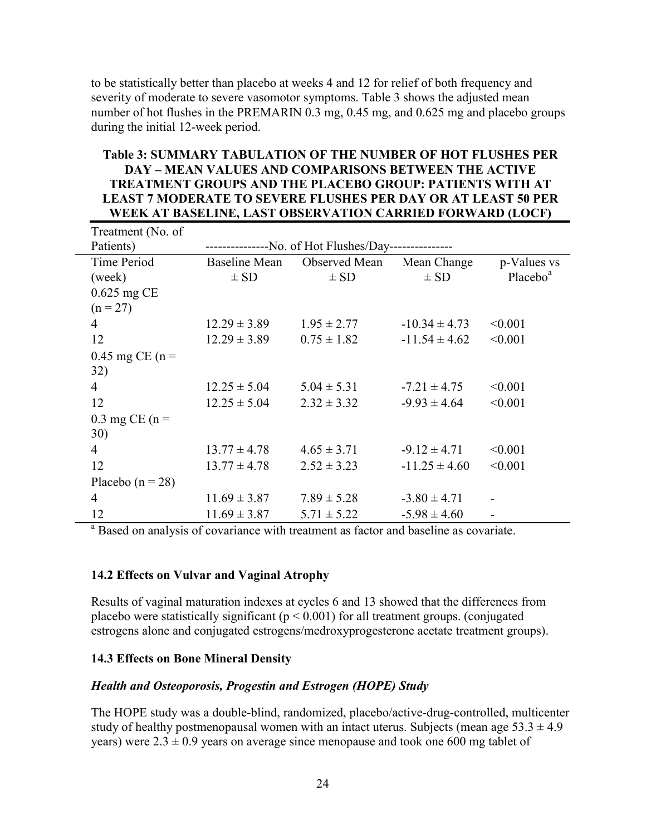to be statistically better than placebo at weeks 4 and 12 for relief of both frequency and severity of moderate to severe vasomotor symptoms. Table 3 shows the adjusted mean number of hot flushes in the PREMARIN 0.3 mg, 0.45 mg, and 0.625 mg and placebo groups during the initial 12-week period.

## **Table 3: SUMMARY TABULATION OF THE NUMBER OF HOT FLUSHES PER DAY – MEAN VALUES AND COMPARISONS BETWEEN THE ACTIVE TREATMENT GROUPS AND THE PLACEBO GROUP: PATIENTS WITH AT LEAST 7 MODERATE TO SEVERE FLUSHES PER DAY OR AT LEAST 50 PER WEEK AT BASELINE, LAST OBSERVATION CARRIED FORWARD (LOCF)**

| Treatment (No. of    |                      |                                                      |                   |                      |
|----------------------|----------------------|------------------------------------------------------|-------------------|----------------------|
| Patients)            |                      | ---------------No. of Hot Flushes/Day--------------- |                   |                      |
| Time Period          | <b>Baseline Mean</b> | Observed Mean                                        | Mean Change       | p-Values vs          |
| (week)               | $\pm$ SD             | $\pm$ SD                                             | $\pm$ SD          | Placebo <sup>a</sup> |
| $0.625$ mg CE        |                      |                                                      |                   |                      |
| $(n = 27)$           |                      |                                                      |                   |                      |
| 4                    | $12.29 \pm 3.89$     | $1.95 \pm 2.77$                                      | $-10.34 \pm 4.73$ | < 0.001              |
| 12                   | $12.29 \pm 3.89$     | $0.75 \pm 1.82$                                      | $-11.54 \pm 4.62$ | < 0.001              |
| 0.45 mg CE ( $n =$   |                      |                                                      |                   |                      |
| 32)                  |                      |                                                      |                   |                      |
| 4                    | $12.25 \pm 5.04$     | $5.04 \pm 5.31$                                      | $-7.21 \pm 4.75$  | < 0.001              |
| 12                   | $12.25 \pm 5.04$     | $2.32 \pm 3.32$                                      | $-9.93 \pm 4.64$  | < 0.001              |
| 0.3 mg CE ( $n =$    |                      |                                                      |                   |                      |
| 30)                  |                      |                                                      |                   |                      |
| 4                    | $13.77 \pm 4.78$     | $4.65 \pm 3.71$                                      | $-9.12 \pm 4.71$  | < 0.001              |
| 12                   | $13.77 \pm 4.78$     | $2.52 \pm 3.23$                                      | $-11.25 \pm 4.60$ | < 0.001              |
| Placebo ( $n = 28$ ) |                      |                                                      |                   |                      |
| 4                    | $11.69 \pm 3.87$     | $7.89 \pm 5.28$                                      | $-3.80 \pm 4.71$  |                      |
| 12                   | $11.69 \pm 3.87$     | $5.71 \pm 5.22$                                      | $-5.98 \pm 4.60$  |                      |
|                      |                      |                                                      |                   |                      |

<sup>a</sup> Based on analysis of covariance with treatment as factor and baseline as covariate.

#### **14.2 Effects on Vulvar and Vaginal Atrophy**

Results of vaginal maturation indexes at cycles 6 and 13 showed that the differences from placebo were statistically significant ( $p < 0.001$ ) for all treatment groups. (conjugated estrogens alone and conjugated estrogens/medroxyprogesterone acetate treatment groups).

#### **14.3 Effects on Bone Mineral Density**

#### *Health and Osteoporosis, Progestin and Estrogen (HOPE) Study*

The HOPE study was a double-blind, randomized, placebo/active-drug-controlled, multicenter study of healthy postmenopausal women with an intact uterus. Subjects (mean age  $53.3 \pm 4.9$ ) years) were  $2.3 \pm 0.9$  years on average since menopause and took one 600 mg tablet of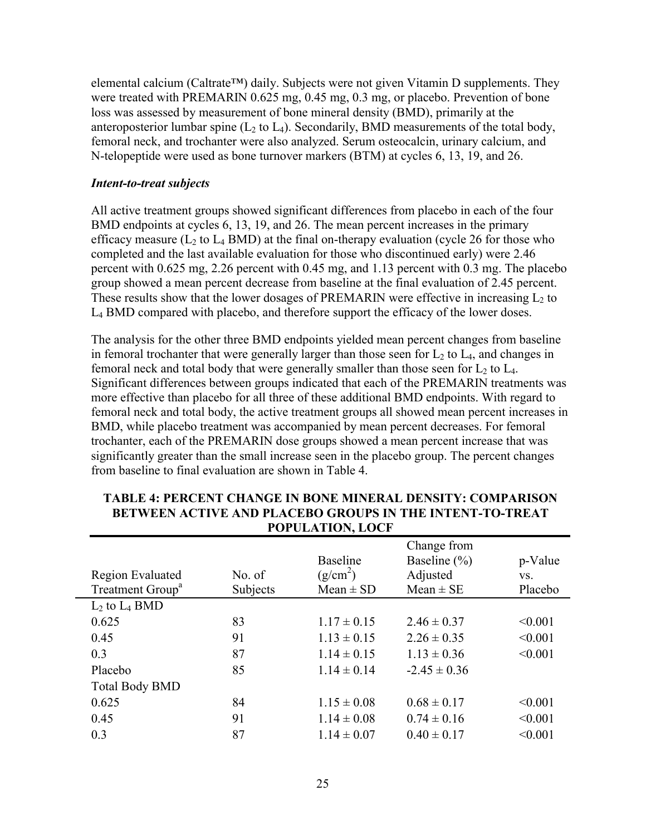elemental calcium (Caltrate™) daily. Subjects were not given Vitamin D supplements. They were treated with PREMARIN 0.625 mg, 0.45 mg, 0.3 mg, or placebo. Prevention of bone loss was assessed by measurement of bone mineral density (BMD), primarily at the anteroposterior lumbar spine  $(L_2 \text{ to } L_4)$ . Secondarily, BMD measurements of the total body, femoral neck, and trochanter were also analyzed. Serum osteocalcin, urinary calcium, and N-telopeptide were used as bone turnover markers (BTM) at cycles 6, 13, 19, and 26.

#### *Intent-to-treat subjects*

All active treatment groups showed significant differences from placebo in each of the four BMD endpoints at cycles 6, 13, 19, and 26. The mean percent increases in the primary efficacy measure ( $L_2$  to  $L_4$  BMD) at the final on-therapy evaluation (cycle 26 for those who completed and the last available evaluation for those who discontinued early) were 2.46 percent with 0.625 mg, 2.26 percent with 0.45 mg, and 1.13 percent with 0.3 mg. The placebo group showed a mean percent decrease from baseline at the final evaluation of 2.45 percent. These results show that the lower dosages of PREMARIN were effective in increasing  $L_2$  to L<sup>4</sup> BMD compared with placebo, and therefore support the efficacy of the lower doses.

The analysis for the other three BMD endpoints yielded mean percent changes from baseline in femoral trochanter that were generally larger than those seen for  $L_2$  to  $L_4$ , and changes in femoral neck and total body that were generally smaller than those seen for  $L_2$  to  $L_4$ . Significant differences between groups indicated that each of the PREMARIN treatments was more effective than placebo for all three of these additional BMD endpoints. With regard to femoral neck and total body, the active treatment groups all showed mean percent increases in BMD, while placebo treatment was accompanied by mean percent decreases. For femoral trochanter, each of the PREMARIN dose groups showed a mean percent increase that was significantly greater than the small increase seen in the placebo group. The percent changes from baseline to final evaluation are shown in Table 4.

| No. of<br>Subjects | <b>Baseline</b><br>$(g/cm^2)$<br>$Mean \pm SD$ | Change from<br>Baseline $(\% )$<br>Adjusted<br>$Mean \pm SE$ | p-Value<br>VS.<br>Placebo |
|--------------------|------------------------------------------------|--------------------------------------------------------------|---------------------------|
|                    |                                                |                                                              |                           |
| 83                 | $1.17 \pm 0.15$                                | $2.46 \pm 0.37$                                              | < 0.001                   |
| 91                 | $1.13 \pm 0.15$                                | $2.26 \pm 0.35$                                              | < 0.001                   |
| 87                 | $1.14 \pm 0.15$                                | $1.13 \pm 0.36$                                              | < 0.001                   |
| 85                 | $1.14 \pm 0.14$                                | $-2.45 \pm 0.36$                                             |                           |
|                    |                                                |                                                              |                           |
| 84                 | $1.15 \pm 0.08$                                | $0.68 \pm 0.17$                                              | < 0.001                   |
| 91                 | $1.14 \pm 0.08$                                | $0.74 \pm 0.16$                                              | < 0.001                   |
| 87                 | $1.14 \pm 0.07$                                | $0.40 \pm 0.17$                                              | < 0.001                   |
|                    |                                                |                                                              |                           |

#### **TABLE 4: PERCENT CHANGE IN BONE MINERAL DENSITY: COMPARISON BETWEEN ACTIVE AND PLACEBO GROUPS IN THE INTENT-TO-TREAT POPULATION, LOCF**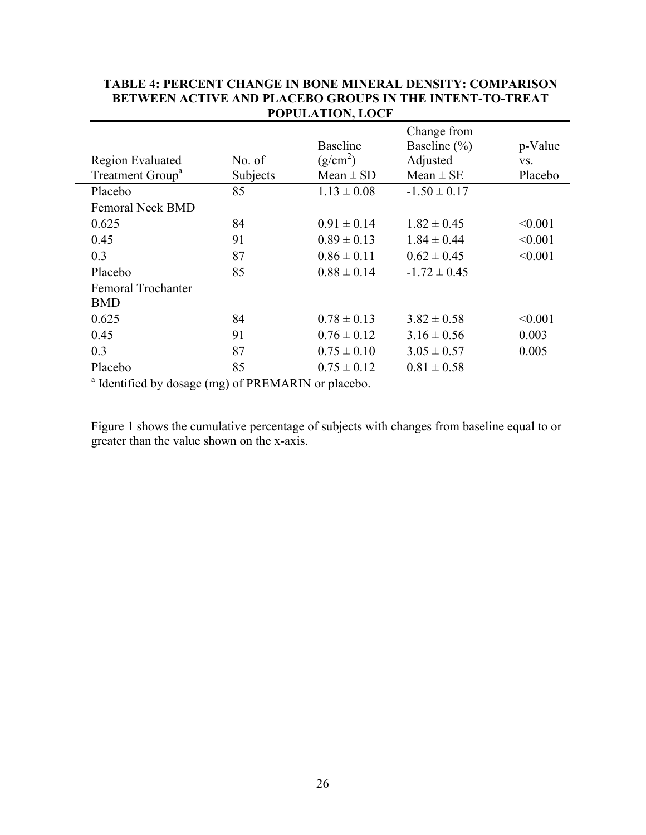| <b>Region Evaluated</b><br>Treatment Group <sup>a</sup> | No. of<br>Subjects | <b>Baseline</b><br>$(g/cm^2)$<br>$Mean \pm SD$ | Change from<br>Baseline $(\% )$<br>Adjusted<br>$Mean \pm SE$ | p-Value<br>VS.<br>Placebo |
|---------------------------------------------------------|--------------------|------------------------------------------------|--------------------------------------------------------------|---------------------------|
| Placebo                                                 | 85                 | $1.13 \pm 0.08$                                | $-1.50 \pm 0.17$                                             |                           |
| <b>Femoral Neck BMD</b>                                 |                    |                                                |                                                              |                           |
| 0.625                                                   | 84                 | $0.91 \pm 0.14$                                | $1.82 \pm 0.45$                                              | < 0.001                   |
| 0.45                                                    | 91                 | $0.89 \pm 0.13$                                | $1.84 \pm 0.44$                                              | < 0.001                   |
| 0.3                                                     | 87                 | $0.86 \pm 0.11$                                | $0.62 \pm 0.45$                                              | < 0.001                   |
| Placebo                                                 | 85                 | $0.88 \pm 0.14$                                | $-1.72 \pm 0.45$                                             |                           |
| <b>Femoral Trochanter</b><br><b>BMD</b>                 |                    |                                                |                                                              |                           |
| 0.625                                                   | 84                 | $0.78 \pm 0.13$                                | $3.82 \pm 0.58$                                              | < 0.001                   |
| 0.45                                                    | 91                 | $0.76 \pm 0.12$                                | $3.16 \pm 0.56$                                              | 0.003                     |
| 0.3                                                     | 87                 | $0.75 \pm 0.10$                                | $3.05 \pm 0.57$                                              | 0.005                     |
| Placebo                                                 | 85                 | $0.75 \pm 0.12$                                | $0.81 \pm 0.58$                                              |                           |

#### **TABLE 4: PERCENT CHANGE IN BONE MINERAL DENSITY: COMPARISON BETWEEN ACTIVE AND PLACEBO GROUPS IN THE INTENT-TO-TREAT POPULATION, LOCF**

<sup>a</sup> Identified by dosage (mg) of PREMARIN or placebo.

Figure 1 shows the cumulative percentage of subjects with changes from baseline equal to or greater than the value shown on the x-axis.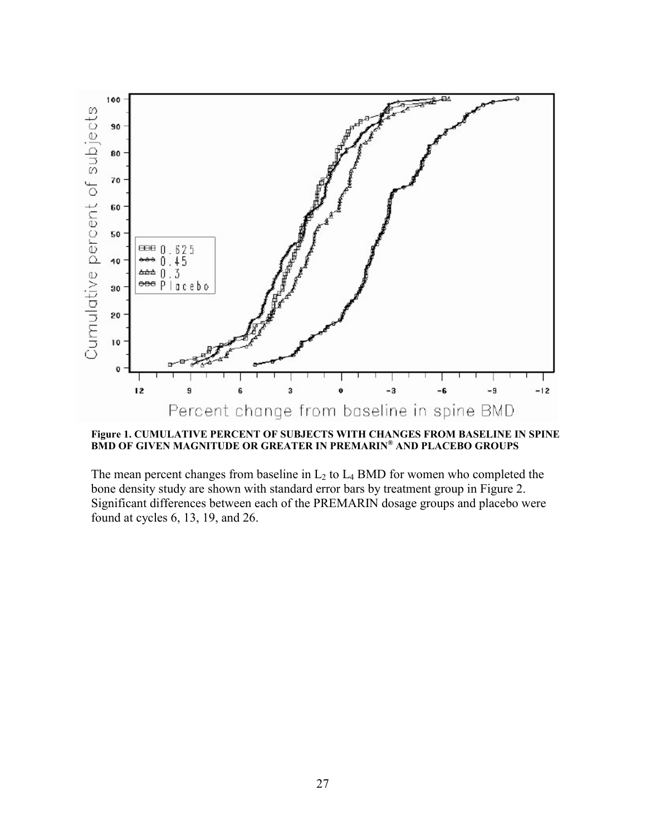

**Figure 1. CUMULATIVE PERCENT OF SUBJECTS WITH CHANGES FROM BASELINE IN SPINE BMD OF GIVEN MAGNITUDE OR GREATER IN PREMARIN® AND PLACEBO GROUPS**

The mean percent changes from baseline in  $L_2$  to  $L_4$  BMD for women who completed the bone density study are shown with standard error bars by treatment group in Figure 2. Significant differences between each of the PREMARIN dosage groups and placebo were found at cycles 6, 13, 19, and 26.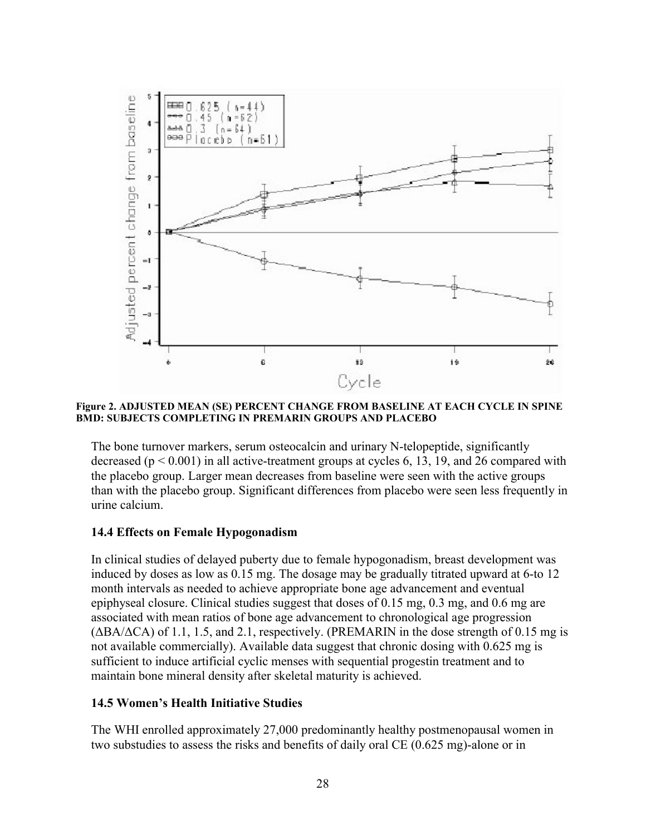

**Figure 2. ADJUSTED MEAN (SE) PERCENT CHANGE FROM BASELINE AT EACH CYCLE IN SPINE BMD: SUBJECTS COMPLETING IN PREMARIN GROUPS AND PLACEBO**

The bone turnover markers, serum osteocalcin and urinary N-telopeptide, significantly decreased ( $p < 0.001$ ) in all active-treatment groups at cycles 6, 13, 19, and 26 compared with the placebo group. Larger mean decreases from baseline were seen with the active groups than with the placebo group. Significant differences from placebo were seen less frequently in urine calcium.

#### **14.4 Effects on Female Hypogonadism**

In clinical studies of delayed puberty due to female hypogonadism, breast development was induced by doses as low as 0.15 mg. The dosage may be gradually titrated upward at 6-to 12 month intervals as needed to achieve appropriate bone age advancement and eventual epiphyseal closure. Clinical studies suggest that doses of 0.15 mg, 0.3 mg, and 0.6 mg are associated with mean ratios of bone age advancement to chronological age progression  $( \Delta BA/\Delta CA)$  of 1.1, 1.5, and 2.1, respectively. (PREMARIN in the dose strength of 0.15 mg is not available commercially). Available data suggest that chronic dosing with 0.625 mg is sufficient to induce artificial cyclic menses with sequential progestin treatment and to maintain bone mineral density after skeletal maturity is achieved.

#### **14.5 Women's Health Initiative Studies**

The WHI enrolled approximately 27,000 predominantly healthy postmenopausal women in two substudies to assess the risks and benefits of daily oral CE (0.625 mg)-alone or in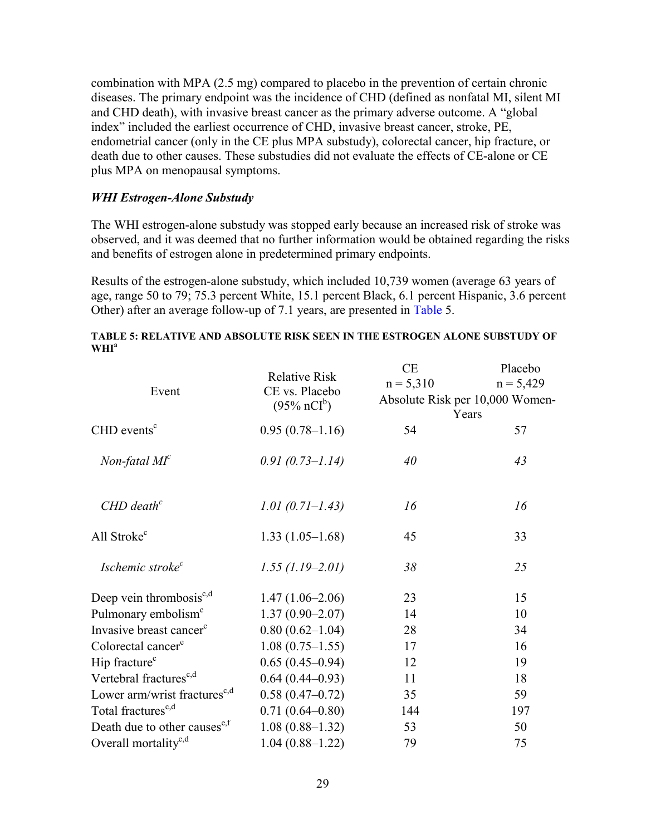combination with MPA (2.5 mg) compared to placebo in the prevention of certain chronic diseases. The primary endpoint was the incidence of CHD (defined as nonfatal MI, silent MI and CHD death), with invasive breast cancer as the primary adverse outcome. A "global index" included the earliest occurrence of CHD, invasive breast cancer, stroke, PE, endometrial cancer (only in the CE plus MPA substudy), colorectal cancer, hip fracture, or death due to other causes. These substudies did not evaluate the effects of CE-alone or CE plus MPA on menopausal symptoms.

## *WHI Estrogen-Alone Substudy*

The WHI estrogen-alone substudy was stopped early because an increased risk of stroke was observed, and it was deemed that no further information would be obtained regarding the risks and benefits of estrogen alone in predetermined primary endpoints.

Results of the estrogen-alone substudy, which included 10,739 women (average 63 years of age, range 50 to 79; 75.3 percent White, 15.1 percent Black, 6.1 percent Hispanic, 3.6 percent Other) after an average follow-up of 7.1 years, are presented in [Table](#page-28-0) 5.

<span id="page-28-0"></span>

|                                           | <b>Relative Risk</b>   | <b>CE</b>   | Placebo                         |
|-------------------------------------------|------------------------|-------------|---------------------------------|
| Event                                     | CE vs. Placebo         | $n = 5,310$ | $n = 5,429$                     |
|                                           | $(95\% \text{ nCI}^b)$ |             | Absolute Risk per 10,000 Women- |
|                                           |                        |             | Years                           |
| $CHD$ events <sup>c</sup>                 | $0.95(0.78-1.16)$      | 54          | 57                              |
| Non-fatal $MI^c$                          | $0.91(0.73 - 1.14)$    | 40          | 43                              |
|                                           |                        |             |                                 |
|                                           |                        |             |                                 |
| $CHD$ death <sup>c</sup>                  | $1.01(0.71 - 1.43)$    | 16          | 16                              |
| All Stroke <sup>c</sup>                   | $1.33(1.05-1.68)$      | 45          | 33                              |
|                                           |                        |             |                                 |
| Ischemic stroke <sup>c</sup>              | $1.55$ (1.19–2.01)     | 38          | 25                              |
| Deep vein thrombosis $c,d$                | $1.47(1.06-2.06)$      | 23          | 15                              |
| Pulmonary embolism <sup>c</sup>           | $1.37(0.90 - 2.07)$    | 14          | 10                              |
| Invasive breast cancer <sup>c</sup>       | $0.80(0.62 - 1.04)$    | 28          | 34                              |
| Colorectal cancer <sup>e</sup>            | $1.08(0.75-1.55)$      | 17          | 16                              |
| Hip fracture <sup>c</sup>                 | $0.65(0.45-0.94)$      | 12          | 19                              |
| Vertebral fractures <sup>c,d</sup>        | $0.64(0.44-0.93)$      | 11          | 18                              |
| Lower arm/wrist fractures <sup>c,d</sup>  | $0.58(0.47-0.72)$      | 35          | 59                              |
| Total fractures <sup>c,d</sup>            | $0.71(0.64 - 0.80)$    | 144         | 197                             |
| Death due to other causes <sup>e, f</sup> | $1.08(0.88 - 1.32)$    | 53          | 50                              |
| Overall mortality <sup>c,d</sup>          | $1.04(0.88 - 1.22)$    | 79          | 75                              |

#### **TABLE 5: RELATIVE AND ABSOLUTE RISK SEEN IN THE ESTROGEN ALONE SUBSTUDY OF WHI<sup>a</sup>**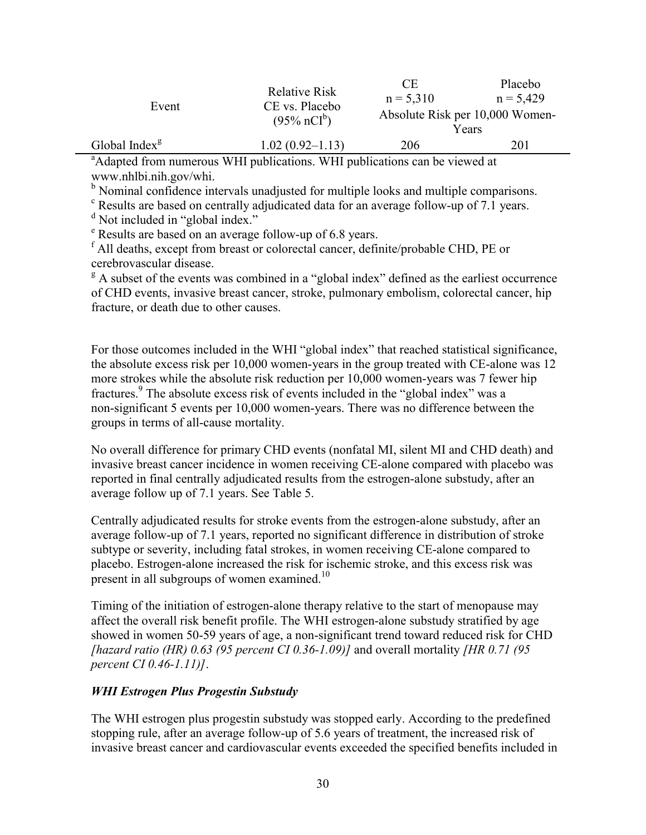|                           | <b>Relative Risk</b>   | CE.         | Placebo                         |
|---------------------------|------------------------|-------------|---------------------------------|
| Event                     | CE vs. Placebo         | $n = 5,310$ | $n = 5,429$                     |
|                           | $(95\% \text{ nCI}^b)$ |             | Absolute Risk per 10,000 Women- |
|                           |                        |             | Years                           |
| Global Index <sup>g</sup> | $1.02(0.92 - 1.13)$    | 206         | 201                             |

<sup>a</sup>Adapted from numerous WHI publications. WHI publications can be viewed at www.nhlbi.nih.gov/whi.

<sup>b</sup> Nominal confidence intervals unadjusted for multiple looks and multiple comparisons.

<sup>c</sup> Results are based on centrally adjudicated data for an average follow-up of 7.1 years.

<sup>d</sup> Not included in "global index."

<sup>e</sup> Results are based on an average follow-up of 6.8 years.

<sup>f</sup> All deaths, except from breast or colorectal cancer, definite/probable CHD, PE or cerebrovascular disease.

 $\beta$  A subset of the events was combined in a "global index" defined as the earliest occurrence of CHD events, invasive breast cancer, stroke, pulmonary embolism, colorectal cancer, hip fracture, or death due to other causes.

For those outcomes included in the WHI "global index" that reached statistical significance, the absolute excess risk per 10,000 women-years in the group treated with CE-alone was 12 more strokes while the absolute risk reduction per 10,000 women-years was 7 fewer hip fractures.<sup>9</sup> The absolute excess risk of events included in the "global index" was a non-significant 5 events per 10,000 women-years. There was no difference between the groups in terms of all-cause mortality.

No overall difference for primary CHD events (nonfatal MI, silent MI and CHD death) and invasive breast cancer incidence in women receiving CE-alone compared with placebo was reported in final centrally adjudicated results from the estrogen-alone substudy, after an average follow up of 7.1 years. See Table 5.

Centrally adjudicated results for stroke events from the estrogen-alone substudy, after an average follow-up of 7.1 years, reported no significant difference in distribution of stroke subtype or severity, including fatal strokes, in women receiving CE-alone compared to placebo. Estrogen-alone increased the risk for ischemic stroke, and this excess risk was present in all subgroups of women examined.<sup>10</sup>

Timing of the initiation of estrogen-alone therapy relative to the start of menopause may affect the overall risk benefit profile. The WHI estrogen-alone substudy stratified by age showed in women 50-59 years of age, a non-significant trend toward reduced risk for CHD *[hazard ratio (HR) 0.63 (95 percent CI 0.36-1.09)]* and overall mortality *[HR 0.71 (95 percent CI 0.46-1.11)]*.

## *WHI Estrogen Plus Progestin Substudy*

The WHI estrogen plus progestin substudy was stopped early. According to the predefined stopping rule, after an average follow-up of 5.6 years of treatment, the increased risk of invasive breast cancer and cardiovascular events exceeded the specified benefits included in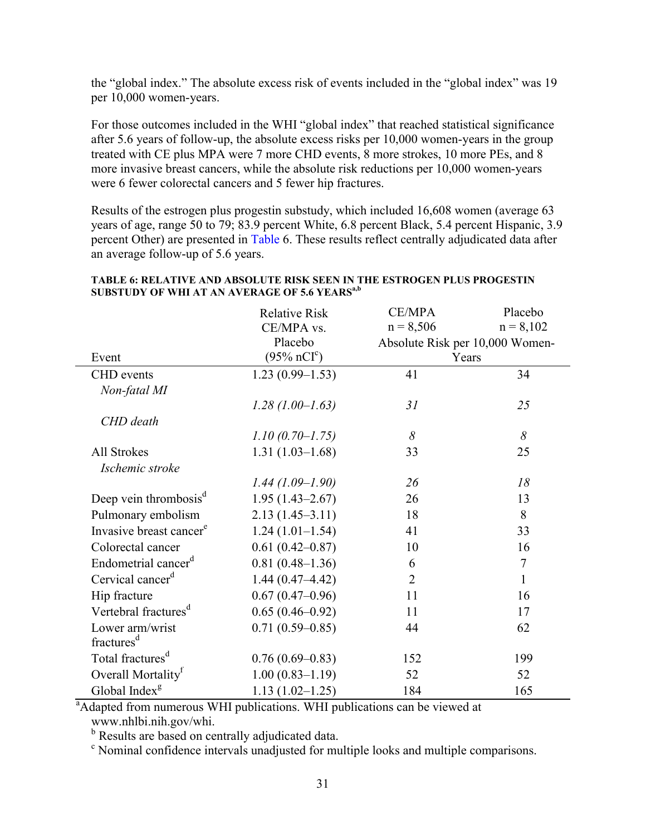the "global index." The absolute excess risk of events included in the "global index" was 19 per 10,000 women-years.

For those outcomes included in the WHI "global index" that reached statistical significance after 5.6 years of follow-up, the absolute excess risks per 10,000 women-years in the group treated with CE plus MPA were 7 more CHD events, 8 more strokes, 10 more PEs, and 8 more invasive breast cancers, while the absolute risk reductions per 10,000 women-years were 6 fewer colorectal cancers and 5 fewer hip fractures.

Results of the estrogen plus progestin substudy, which included 16,608 women (average 63 years of age, range 50 to 79; 83.9 percent White, 6.8 percent Black, 5.4 percent Hispanic, 3.9 percent Other) are presented in [Table](#page-30-0) 6. These results reflect centrally adjudicated data after an average follow-up of 5.6 years.

<span id="page-30-0"></span>

|                                     | <b>Relative Risk</b> | <b>CE/MPA</b>                   | Placebo      |
|-------------------------------------|----------------------|---------------------------------|--------------|
|                                     | CE/MPA vs.           | $n = 8,506$                     | $n = 8,102$  |
|                                     | Placebo              | Absolute Risk per 10,000 Women- |              |
| Event                               | $(95\% \, nCIc)$     | Years                           |              |
| CHD events                          | $1.23(0.99-1.53)$    | 41                              | 34           |
| Non-fatal MI                        |                      |                                 |              |
|                                     | $1.28(1.00-1.63)$    | 31                              | 25           |
| CHD death                           |                      |                                 |              |
|                                     | $1.10(0.70 - 1.75)$  | 8                               | 8            |
| All Strokes                         | $1.31(1.03-1.68)$    | 33                              | 25           |
| Ischemic stroke                     |                      |                                 |              |
|                                     | $1.44(1.09-1.90)$    | 26                              | 18           |
| Deep vein thrombosis <sup>d</sup>   | $1.95(1.43 - 2.67)$  | 26                              | 13           |
| Pulmonary embolism                  | $2.13(1.45-3.11)$    | 18                              | 8            |
| Invasive breast cancer <sup>e</sup> | $1.24(1.01-1.54)$    | 41                              | 33           |
| Colorectal cancer                   | $0.61(0.42 - 0.87)$  | 10                              | 16           |
| Endometrial cancer <sup>d</sup>     | $0.81(0.48 - 1.36)$  | 6                               | $\tau$       |
| Cervical cancer <sup>d</sup>        | $1.44(0.47 - 4.42)$  | $\overline{2}$                  | $\mathbf{1}$ |
| Hip fracture                        | $0.67(0.47-0.96)$    | 11                              | 16           |
| Vertebral fractures <sup>d</sup>    | $0.65(0.46-0.92)$    | 11                              | 17           |
| Lower arm/wrist                     | $0.71(0.59 - 0.85)$  | 44                              | 62           |
| fractures <sup>d</sup>              |                      |                                 |              |
| Total fractures <sup>d</sup>        | $0.76(0.69-0.83)$    | 152                             | 199          |
| Overall Mortality <sup>f</sup>      | $1.00(0.83 - 1.19)$  | 52                              | 52           |
| Global Index <sup>g</sup>           | $1.13(1.02 - 1.25)$  | 184                             | 165          |

#### **TABLE 6: RELATIVE AND ABSOLUTE RISK SEEN IN THE ESTROGEN PLUS PROGESTIN SUBSTUDY OF WHI AT AN AVERAGE OF 5.6 YEARSa,b**

<sup>a</sup>Adapted from numerous WHI publications. WHI publications can be viewed at www.nhlbi.nih.gov/whi.

<sup>b</sup> Results are based on centrally adjudicated data.

<sup>c</sup> Nominal confidence intervals unadjusted for multiple looks and multiple comparisons.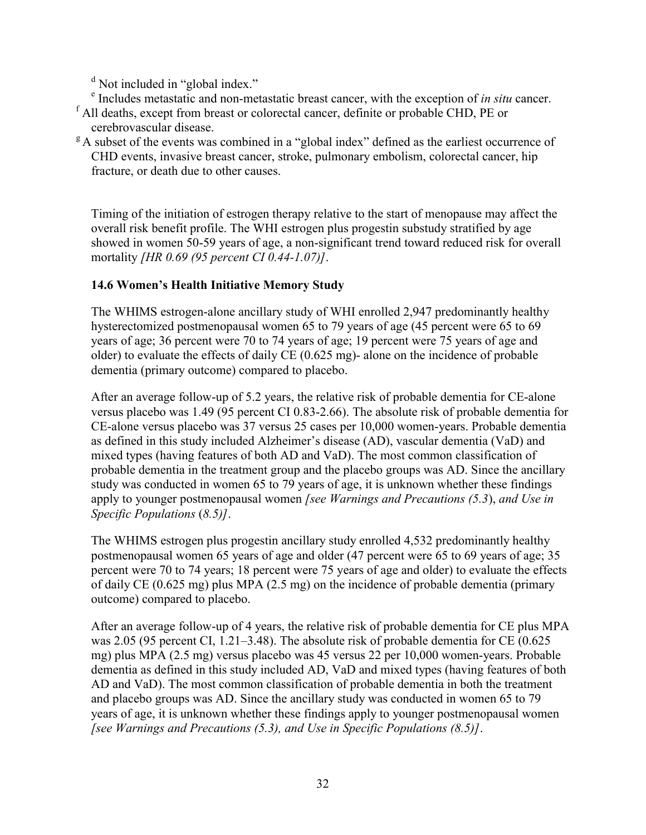<sup>d</sup> Not included in "global index."

e Includes metastatic and non-metastatic breast cancer, with the exception of *in situ* cancer.

- <sup>f</sup> All deaths, except from breast or colorectal cancer, definite or probable CHD, PE or cerebrovascular disease.
- ${}^{g}$ A subset of the events was combined in a "global index" defined as the earliest occurrence of CHD events, invasive breast cancer, stroke, pulmonary embolism, colorectal cancer, hip fracture, or death due to other causes.

Timing of the initiation of estrogen therapy relative to the start of menopause may affect the overall risk benefit profile. The WHI estrogen plus progestin substudy stratified by age showed in women 50-59 years of age, a non-significant trend toward reduced risk for overall mortality *[HR 0.69 (95 percent CI 0.44-1.07)]*.

## **14.6 Women's Health Initiative Memory Study**

The WHIMS estrogen-alone ancillary study of WHI enrolled 2,947 predominantly healthy hysterectomized postmenopausal women 65 to 79 years of age (45 percent were 65 to 69 years of age; 36 percent were 70 to 74 years of age; 19 percent were 75 years of age and older) to evaluate the effects of daily CE (0.625 mg)- alone on the incidence of probable dementia (primary outcome) compared to placebo.

After an average follow-up of 5.2 years, the relative risk of probable dementia for CE-alone versus placebo was 1.49 (95 percent CI 0.83-2.66). The absolute risk of probable dementia for CE-alone versus placebo was 37 versus 25 cases per 10,000 women-years. Probable dementia as defined in this study included Alzheimer's disease (AD), vascular dementia (VaD) and mixed types (having features of both AD and VaD). The most common classification of probable dementia in the treatment group and the placebo groups was AD. Since the ancillary study was conducted in women 65 to 79 years of age, it is unknown whether these findings apply to younger postmenopausal women *[see Warnings and Precautions (5.3*), *and Use in Specific Populations* (*8.5)]*.

The WHIMS estrogen plus progestin ancillary study enrolled 4,532 predominantly healthy postmenopausal women 65 years of age and older (47 percent were 65 to 69 years of age; 35 percent were 70 to 74 years; 18 percent were 75 years of age and older) to evaluate the effects of daily CE (0.625 mg) plus MPA (2.5 mg) on the incidence of probable dementia (primary outcome) compared to placebo.

After an average follow-up of 4 years, the relative risk of probable dementia for CE plus MPA was 2.05 (95 percent CI, 1.21–3.48). The absolute risk of probable dementia for CE (0.625 mg) plus MPA (2.5 mg) versus placebo was 45 versus 22 per 10,000 women-years. Probable dementia as defined in this study included AD, VaD and mixed types (having features of both AD and VaD). The most common classification of probable dementia in both the treatment and placebo groups was AD. Since the ancillary study was conducted in women 65 to 79 years of age, it is unknown whether these findings apply to younger postmenopausal women *[see Warnings and Precautions (5.3), and Use in Specific Populations (8.5)]*.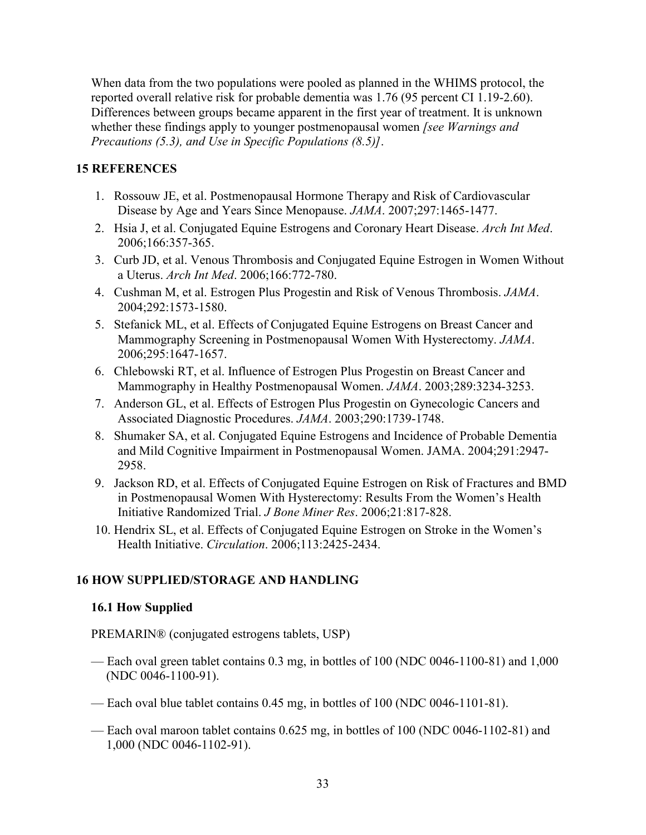When data from the two populations were pooled as planned in the WHIMS protocol, the reported overall relative risk for probable dementia was 1.76 (95 percent CI 1.19-2.60). Differences between groups became apparent in the first year of treatment. It is unknown whether these findings apply to younger postmenopausal women *[see Warnings and Precautions (5.3), and Use in Specific Populations (8.5)]*.

## **15 REFERENCES**

- 1. Rossouw JE, et al. Postmenopausal Hormone Therapy and Risk of Cardiovascular Disease by Age and Years Since Menopause. *JAMA*. 2007;297:1465-1477.
- 2. Hsia J, et al. Conjugated Equine Estrogens and Coronary Heart Disease. *Arch Int Med*. 2006;166:357-365.
- 3. Curb JD, et al. Venous Thrombosis and Conjugated Equine Estrogen in Women Without a Uterus. *Arch Int Med*. 2006;166:772-780.
- 4. Cushman M, et al. Estrogen Plus Progestin and Risk of Venous Thrombosis. *JAMA*. 2004;292:1573-1580.
- 5. Stefanick ML, et al. Effects of Conjugated Equine Estrogens on Breast Cancer and Mammography Screening in Postmenopausal Women With Hysterectomy. *JAMA*. 2006;295:1647-1657.
- 6. Chlebowski RT, et al. Influence of Estrogen Plus Progestin on Breast Cancer and Mammography in Healthy Postmenopausal Women. *JAMA*. 2003;289:3234-3253.
- 7. Anderson GL, et al. Effects of Estrogen Plus Progestin on Gynecologic Cancers and Associated Diagnostic Procedures. *JAMA*. 2003;290:1739-1748.
- 8. Shumaker SA, et al. Conjugated Equine Estrogens and Incidence of Probable Dementia and Mild Cognitive Impairment in Postmenopausal Women. JAMA. 2004;291:2947- 2958.
- 9. Jackson RD, et al. Effects of Conjugated Equine Estrogen on Risk of Fractures and BMD in Postmenopausal Women With Hysterectomy: Results From the Women's Health Initiative Randomized Trial. *J Bone Miner Res*. 2006;21:817-828.
- 10. Hendrix SL, et al. Effects of Conjugated Equine Estrogen on Stroke in the Women's Health Initiative. *Circulation*. 2006;113:2425-2434.

# **16 HOW SUPPLIED/STORAGE AND HANDLING**

## **16.1 How Supplied**

PREMARIN® (conjugated estrogens tablets, USP)

- Each oval green tablet contains 0.3 mg, in bottles of 100 (NDC 0046-1100-81) and 1,000 (NDC 0046-1100-91).
- Each oval blue tablet contains 0.45 mg, in bottles of 100 (NDC 0046-1101-81).
- Each oval maroon tablet contains 0.625 mg, in bottles of 100 (NDC 0046-1102-81) and 1,000 (NDC 0046-1102-91).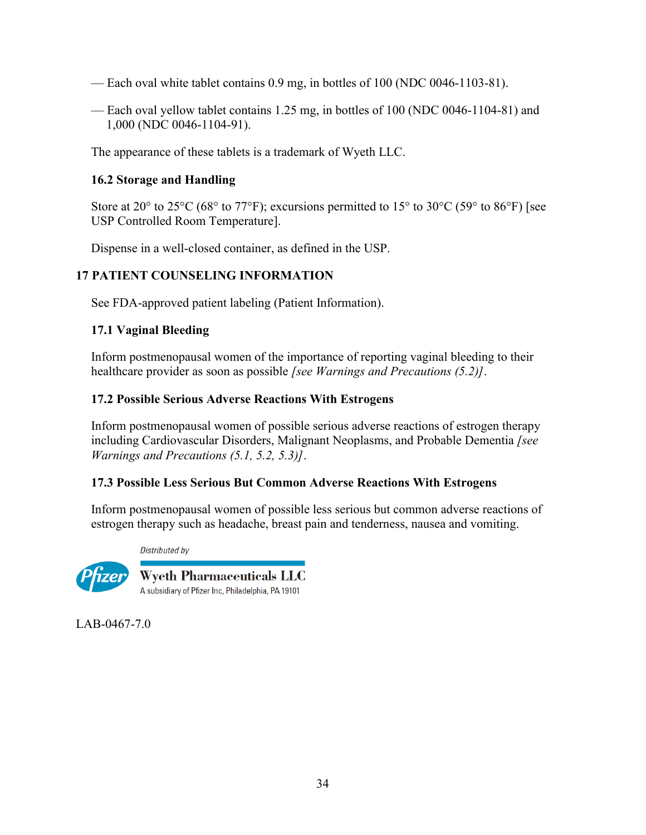- Each oval white tablet contains 0.9 mg, in bottles of 100 (NDC 0046-1103-81).
- Each oval yellow tablet contains 1.25 mg, in bottles of 100 (NDC 0046-1104-81) and 1,000 (NDC 0046-1104-91).

The appearance of these tablets is a trademark of Wyeth LLC.

## **16.2 Storage and Handling**

Store at 20 $\degree$  to 25 $\degree$ C (68 $\degree$  to 77 $\degree$ F); excursions permitted to 15 $\degree$  to 30 $\degree$ C (59 $\degree$  to 86 $\degree$ F) [see USP Controlled Room Temperature].

Dispense in a well-closed container, as defined in the USP.

## **17 PATIENT COUNSELING INFORMATION**

See FDA-approved patient labeling (Patient Information).

## **17.1 Vaginal Bleeding**

Inform postmenopausal women of the importance of reporting vaginal bleeding to their healthcare provider as soon as possible *[see Warnings and Precautions (5.2)]*.

## **17.2 Possible Serious Adverse Reactions With Estrogens**

Inform postmenopausal women of possible serious adverse reactions of estrogen therapy including Cardiovascular Disorders, Malignant Neoplasms, and Probable Dementia *[see Warnings and Precautions (5.1, 5.2, 5.3)]*.

# **17.3 Possible Less Serious But Common Adverse Reactions With Estrogens**

Inform postmenopausal women of possible less serious but common adverse reactions of estrogen therapy such as headache, breast pain and tenderness, nausea and vomiting.

Distributed by



 $LAB-0467-70$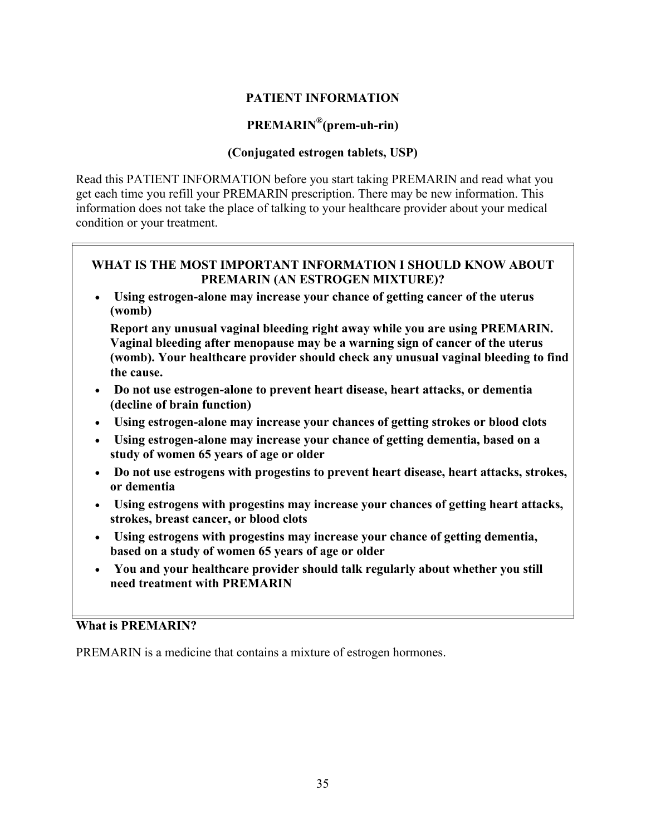# **PATIENT INFORMATION**

# **PREMARIN® (prem-uh-rin)**

## **(Conjugated estrogen tablets, USP)**

Read this PATIENT INFORMATION before you start taking PREMARIN and read what you get each time you refill your PREMARIN prescription. There may be new information. This information does not take the place of talking to your healthcare provider about your medical condition or your treatment.

#### **WHAT IS THE MOST IMPORTANT INFORMATION I SHOULD KNOW ABOUT PREMARIN (AN ESTROGEN MIXTURE)?**

 **Using estrogen-alone may increase your chance of getting cancer of the uterus (womb)**

**Report any unusual vaginal bleeding right away while you are using PREMARIN. Vaginal bleeding after menopause may be a warning sign of cancer of the uterus (womb). Your healthcare provider should check any unusual vaginal bleeding to find the cause.**

- **Do not use estrogen-alone to prevent heart disease, heart attacks, or dementia (decline of brain function)**
- **Using estrogen-alone may increase your chances of getting strokes or blood clots**
- **Using estrogen-alone may increase your chance of getting dementia, based on a study of women 65 years of age or older**
- **Do not use estrogens with progestins to prevent heart disease, heart attacks, strokes, or dementia**
- **Using estrogens with progestins may increase your chances of getting heart attacks, strokes, breast cancer, or blood clots**
- **Using estrogens with progestins may increase your chance of getting dementia, based on a study of women 65 years of age or older**
- **You and your healthcare provider should talk regularly about whether you still need treatment with PREMARIN**

## **What is PREMARIN?**

PREMARIN is a medicine that contains a mixture of estrogen hormones.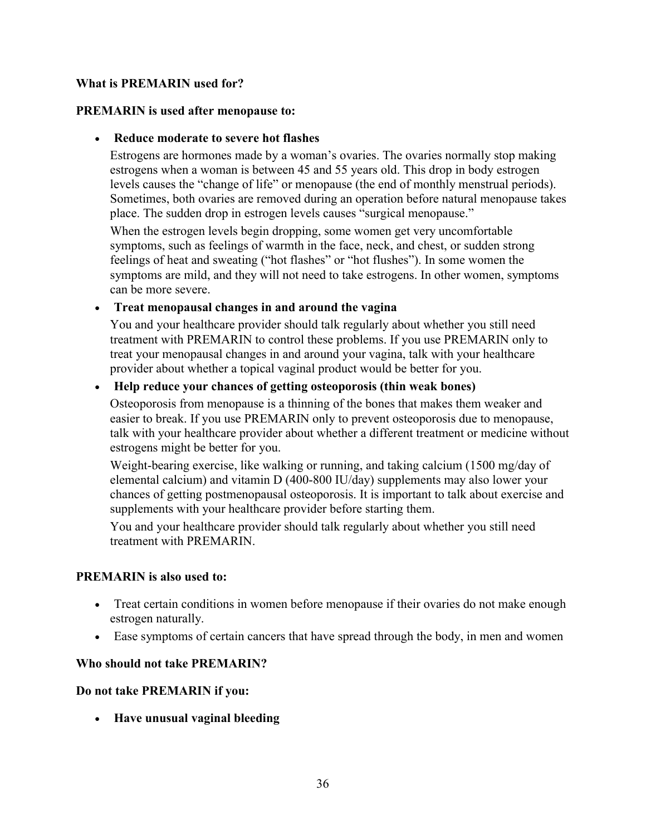#### **What is PREMARIN used for?**

#### **PREMARIN is used after menopause to:**

#### **Reduce moderate to severe hot flashes**

Estrogens are hormones made by a woman's ovaries. The ovaries normally stop making estrogens when a woman is between 45 and 55 years old. This drop in body estrogen levels causes the "change of life" or menopause (the end of monthly menstrual periods). Sometimes, both ovaries are removed during an operation before natural menopause takes place. The sudden drop in estrogen levels causes "surgical menopause."

When the estrogen levels begin dropping, some women get very uncomfortable symptoms, such as feelings of warmth in the face, neck, and chest, or sudden strong feelings of heat and sweating ("hot flashes" or "hot flushes"). In some women the symptoms are mild, and they will not need to take estrogens. In other women, symptoms can be more severe.

#### **Treat menopausal changes in and around the vagina**

You and your healthcare provider should talk regularly about whether you still need treatment with PREMARIN to control these problems. If you use PREMARIN only to treat your menopausal changes in and around your vagina, talk with your healthcare provider about whether a topical vaginal product would be better for you.

#### **Help reduce your chances of getting osteoporosis (thin weak bones)**

Osteoporosis from menopause is a thinning of the bones that makes them weaker and easier to break. If you use PREMARIN only to prevent osteoporosis due to menopause, talk with your healthcare provider about whether a different treatment or medicine without estrogens might be better for you.

Weight-bearing exercise, like walking or running, and taking calcium (1500 mg/day of elemental calcium) and vitamin D (400-800 IU/day) supplements may also lower your chances of getting postmenopausal osteoporosis. It is important to talk about exercise and supplements with your healthcare provider before starting them.

You and your healthcare provider should talk regularly about whether you still need treatment with PREMARIN.

#### **PREMARIN is also used to:**

- Treat certain conditions in women before menopause if their ovaries do not make enough estrogen naturally.
- Ease symptoms of certain cancers that have spread through the body, in men and women

#### **Who should not take PREMARIN?**

#### **Do not take PREMARIN if you:**

**Have unusual vaginal bleeding**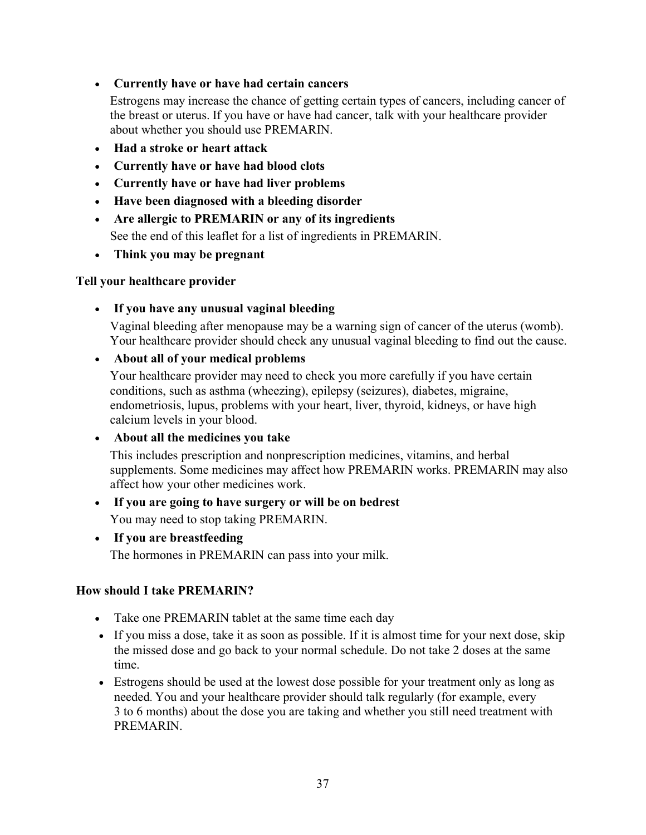## **Currently have or have had certain cancers**

Estrogens may increase the chance of getting certain types of cancers, including cancer of the breast or uterus. If you have or have had cancer, talk with your healthcare provider about whether you should use PREMARIN.

- **Had a stroke or heart attack**
- **Currently have or have had blood clots**
- **Currently have or have had liver problems**
- **Have been diagnosed with a bleeding disorder**
- **Are allergic to PREMARIN or any of its ingredients**

See the end of this leaflet for a list of ingredients in PREMARIN.

**Think you may be pregnant**

## **Tell your healthcare provider**

**If you have any unusual vaginal bleeding**

Vaginal bleeding after menopause may be a warning sign of cancer of the uterus (womb). Your healthcare provider should check any unusual vaginal bleeding to find out the cause.

**About all of your medical problems**

Your healthcare provider may need to check you more carefully if you have certain conditions, such as asthma (wheezing), epilepsy (seizures), diabetes, migraine, endometriosis, lupus, problems with your heart, liver, thyroid, kidneys, or have high calcium levels in your blood.

## **About all the medicines you take**

This includes prescription and nonprescription medicines, vitamins, and herbal supplements. Some medicines may affect how PREMARIN works. PREMARIN may also affect how your other medicines work.

- **If you are going to have surgery or will be on bedrest** You may need to stop taking PREMARIN.
- **If you are breastfeeding**

The hormones in PREMARIN can pass into your milk.

## **How should I take PREMARIN?**

- Take one PREMARIN tablet at the same time each day
- If you miss a dose, take it as soon as possible. If it is almost time for your next dose, skip the missed dose and go back to your normal schedule. Do not take 2 doses at the same time.
- Estrogens should be used at the lowest dose possible for your treatment only as long as needed. You and your healthcare provider should talk regularly (for example, every 3 to 6 months) about the dose you are taking and whether you still need treatment with PREMARIN.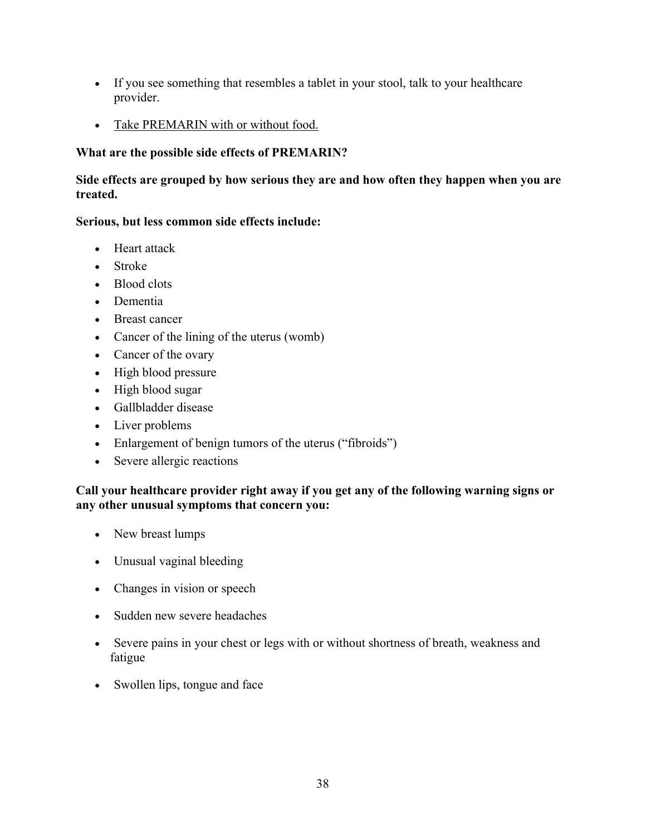- If you see something that resembles a tablet in your stool, talk to your healthcare provider.
- Take PREMARIN with or without food.

## **What are the possible side effects of PREMARIN?**

**Side effects are grouped by how serious they are and how often they happen when you are treated.**

## **Serious, but less common side effects include:**

- Heart attack
- Stroke
- Blood clots
- Dementia
- Breast cancer
- Cancer of the lining of the uterus (womb)
- Cancer of the ovary
- High blood pressure
- High blood sugar
- Gallbladder disease
- Liver problems
- Enlargement of benign tumors of the uterus ("fibroids")
- Severe allergic reactions

## **Call your healthcare provider right away if you get any of the following warning signs or any other unusual symptoms that concern you:**

- New breast lumps
- Unusual vaginal bleeding
- Changes in vision or speech
- Sudden new severe headaches
- Severe pains in your chest or legs with or without shortness of breath, weakness and fatigue
- Swollen lips, tongue and face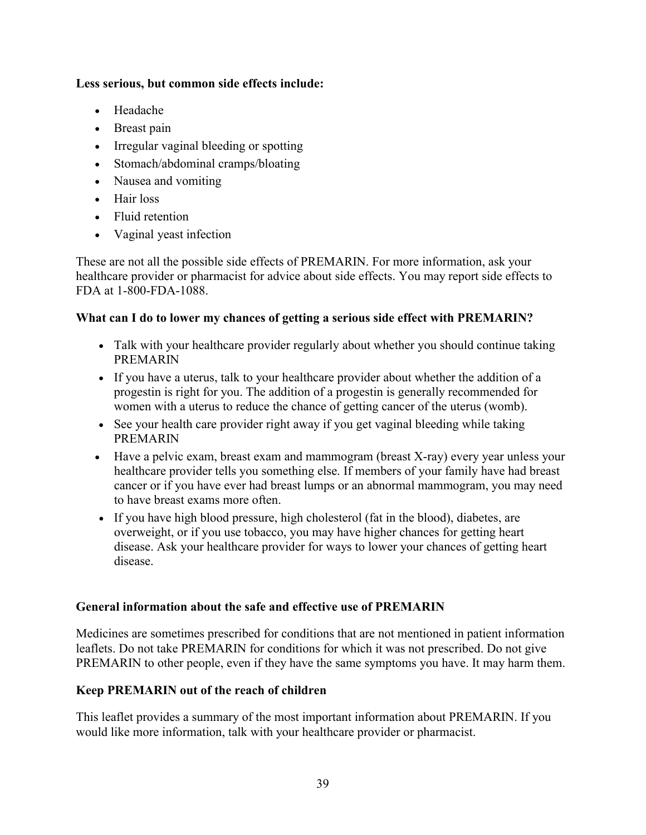## **Less serious, but common side effects include:**

- Headache
- Breast pain
- Irregular vaginal bleeding or spotting
- Stomach/abdominal cramps/bloating
- Nausea and vomiting
- Hair loss
- Fluid retention
- Vaginal yeast infection

These are not all the possible side effects of PREMARIN. For more information, ask your healthcare provider or pharmacist for advice about side effects. You may report side effects to FDA at 1-800-FDA-1088.

# **What can I do to lower my chances of getting a serious side effect with PREMARIN?**

- Talk with your healthcare provider regularly about whether you should continue taking PREMARIN
- If you have a uterus, talk to your healthcare provider about whether the addition of a progestin is right for you. The addition of a progestin is generally recommended for women with a uterus to reduce the chance of getting cancer of the uterus (womb).
- See your health care provider right away if you get vaginal bleeding while taking PREMARIN
- Have a pelvic exam, breast exam and mammogram (breast X-ray) every year unless your healthcare provider tells you something else. If members of your family have had breast cancer or if you have ever had breast lumps or an abnormal mammogram, you may need to have breast exams more often.
- If you have high blood pressure, high cholesterol (fat in the blood), diabetes, are overweight, or if you use tobacco, you may have higher chances for getting heart disease. Ask your healthcare provider for ways to lower your chances of getting heart disease.

# **General information about the safe and effective use of PREMARIN**

Medicines are sometimes prescribed for conditions that are not mentioned in patient information leaflets. Do not take PREMARIN for conditions for which it was not prescribed. Do not give PREMARIN to other people, even if they have the same symptoms you have. It may harm them.

# **Keep PREMARIN out of the reach of children**

This leaflet provides a summary of the most important information about PREMARIN. If you would like more information, talk with your healthcare provider or pharmacist.